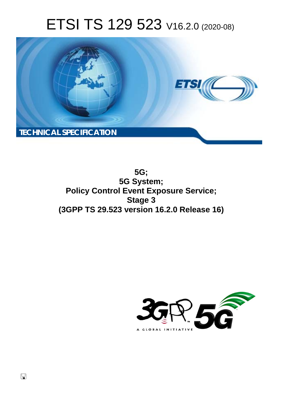# ETSI TS 129 523 V16.2.0 (2020-08)



**5G; 5G System; Policy Control Event Exposure Service; Stage 3 (3GPP TS 29.523 version 16.2.0 Release 16)** 

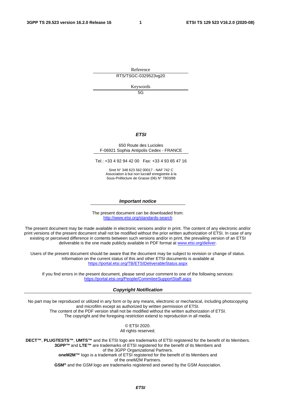Reference RTS/TSGC-0329523vg20

Keywords

5G

#### *ETSI*

#### 650 Route des Lucioles F-06921 Sophia Antipolis Cedex - FRANCE

Tel.: +33 4 92 94 42 00 Fax: +33 4 93 65 47 16

Siret N° 348 623 562 00017 - NAF 742 C Association à but non lucratif enregistrée à la Sous-Préfecture de Grasse (06) N° 7803/88

#### *Important notice*

The present document can be downloaded from: <http://www.etsi.org/standards-search>

The present document may be made available in electronic versions and/or in print. The content of any electronic and/or print versions of the present document shall not be modified without the prior written authorization of ETSI. In case of any existing or perceived difference in contents between such versions and/or in print, the prevailing version of an ETSI deliverable is the one made publicly available in PDF format at [www.etsi.org/deliver.](http://www.etsi.org/deliver)

Users of the present document should be aware that the document may be subject to revision or change of status. Information on the current status of this and other ETSI documents is available at <https://portal.etsi.org/TB/ETSIDeliverableStatus.aspx>

If you find errors in the present document, please send your comment to one of the following services: <https://portal.etsi.org/People/CommiteeSupportStaff.aspx>

#### *Copyright Notification*

No part may be reproduced or utilized in any form or by any means, electronic or mechanical, including photocopying and microfilm except as authorized by written permission of ETSI. The content of the PDF version shall not be modified without the written authorization of ETSI. The copyright and the foregoing restriction extend to reproduction in all media.

> © ETSI 2020. All rights reserved.

**DECT™**, **PLUGTESTS™**, **UMTS™** and the ETSI logo are trademarks of ETSI registered for the benefit of its Members. **3GPP™** and **LTE™** are trademarks of ETSI registered for the benefit of its Members and of the 3GPP Organizational Partners. **oneM2M™** logo is a trademark of ETSI registered for the benefit of its Members and of the oneM2M Partners. **GSM®** and the GSM logo are trademarks registered and owned by the GSM Association.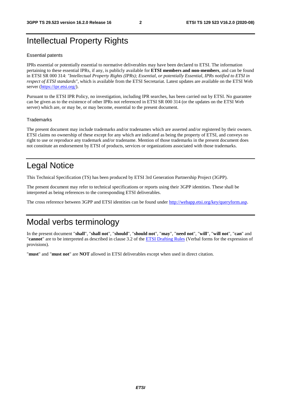## Intellectual Property Rights

#### Essential patents

IPRs essential or potentially essential to normative deliverables may have been declared to ETSI. The information pertaining to these essential IPRs, if any, is publicly available for **ETSI members and non-members**, and can be found in ETSI SR 000 314: *"Intellectual Property Rights (IPRs); Essential, or potentially Essential, IPRs notified to ETSI in respect of ETSI standards"*, which is available from the ETSI Secretariat. Latest updates are available on the ETSI Web server [\(https://ipr.etsi.org/](https://ipr.etsi.org/)).

Pursuant to the ETSI IPR Policy, no investigation, including IPR searches, has been carried out by ETSI. No guarantee can be given as to the existence of other IPRs not referenced in ETSI SR 000 314 (or the updates on the ETSI Web server) which are, or may be, or may become, essential to the present document.

#### **Trademarks**

The present document may include trademarks and/or tradenames which are asserted and/or registered by their owners. ETSI claims no ownership of these except for any which are indicated as being the property of ETSI, and conveys no right to use or reproduce any trademark and/or tradename. Mention of those trademarks in the present document does not constitute an endorsement by ETSI of products, services or organizations associated with those trademarks.

## Legal Notice

This Technical Specification (TS) has been produced by ETSI 3rd Generation Partnership Project (3GPP).

The present document may refer to technical specifications or reports using their 3GPP identities. These shall be interpreted as being references to the corresponding ETSI deliverables.

The cross reference between 3GPP and ETSI identities can be found under<http://webapp.etsi.org/key/queryform.asp>.

## Modal verbs terminology

In the present document "**shall**", "**shall not**", "**should**", "**should not**", "**may**", "**need not**", "**will**", "**will not**", "**can**" and "**cannot**" are to be interpreted as described in clause 3.2 of the [ETSI Drafting Rules](https://portal.etsi.org/Services/editHelp!/Howtostart/ETSIDraftingRules.aspx) (Verbal forms for the expression of provisions).

"**must**" and "**must not**" are **NOT** allowed in ETSI deliverables except when used in direct citation.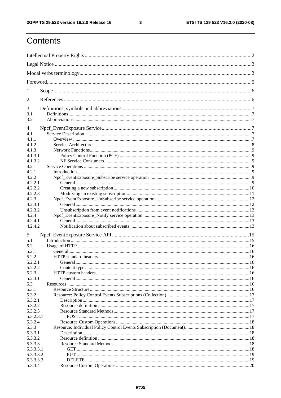$\mathbf{3}$ 

## Contents

| 1          |         |  |
|------------|---------|--|
| 2          |         |  |
| 3          |         |  |
| 3.1<br>3.2 |         |  |
| 4          |         |  |
| 4.1        |         |  |
| 4.1.1      |         |  |
| 4.1.2      |         |  |
| 4.1.3      |         |  |
| 4.1.3.1    |         |  |
| 4.1.3.2    |         |  |
| 4.2        |         |  |
| 4.2.1      |         |  |
| 4.2.2      |         |  |
| 4.2.2.1    |         |  |
| 4.2.2.2    |         |  |
| 4.2.2.3    |         |  |
|            |         |  |
| 4.2.3      |         |  |
| 4.2.3.1    |         |  |
| 4.2.3.2    |         |  |
| 4.2.4      |         |  |
| 4.2.4.1    |         |  |
| 4.2.4.2    |         |  |
| 5          |         |  |
| 5.1        |         |  |
| 5.2        |         |  |
| 5.2.1      |         |  |
| 5.2.2      |         |  |
| 5.2.2.1    | General |  |
| 5.2.2.2    |         |  |
| 5.2.3      |         |  |
| 5.2.3.1    |         |  |
| 5.3        |         |  |
| 5.3.1      |         |  |
| 5.3.2      |         |  |
| 5.3.2.1    |         |  |
|            |         |  |
| 5.3.2.2    |         |  |
| 5.3.2.3    |         |  |
| 5.3.2.3.1  |         |  |
| 5.3.2.4    |         |  |
| 5.3.3      |         |  |
| 5.3.3.1    |         |  |
| 5.3.3.2    |         |  |
| 5.3.3.3    |         |  |
| 5.3.3.3.1  |         |  |
| 5.3.3.3.2  |         |  |
| 5.3.3.3.3  |         |  |
| 5.3.3.4    |         |  |
|            |         |  |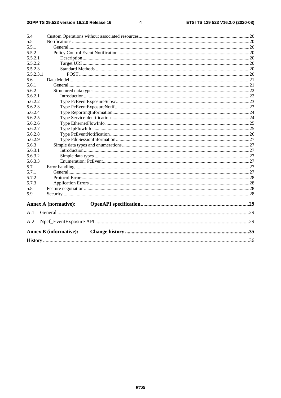#### $\overline{\mathbf{4}}$

|                | <b>Annex B (informative):</b> |  |  |  |  |  |
|----------------|-------------------------------|--|--|--|--|--|
| A.2            |                               |  |  |  |  |  |
| A.1            |                               |  |  |  |  |  |
|                | <b>Annex A (normative):</b>   |  |  |  |  |  |
| 5.9            |                               |  |  |  |  |  |
| 5.8            |                               |  |  |  |  |  |
| 5.7.3          |                               |  |  |  |  |  |
| 5.7.2          |                               |  |  |  |  |  |
| 5.7.1          |                               |  |  |  |  |  |
| 5.7            |                               |  |  |  |  |  |
| 5.6.3.3        |                               |  |  |  |  |  |
| 5.6.3.2        |                               |  |  |  |  |  |
| 5.6.3.1        |                               |  |  |  |  |  |
| 5.6.3          |                               |  |  |  |  |  |
| 5.6.2.9        |                               |  |  |  |  |  |
| 5.6.2.8        |                               |  |  |  |  |  |
| 5.6.2.7        |                               |  |  |  |  |  |
| 5.6.2.6        |                               |  |  |  |  |  |
| 5.6.2.5        |                               |  |  |  |  |  |
| 5.6.2.4        |                               |  |  |  |  |  |
| 5.6.2.3        |                               |  |  |  |  |  |
| 5.6.2.2        |                               |  |  |  |  |  |
| 5.6.2.1        |                               |  |  |  |  |  |
| 5.6.2          |                               |  |  |  |  |  |
| 5.6.1          |                               |  |  |  |  |  |
| 5.6            |                               |  |  |  |  |  |
| 5.5.2.3.1      |                               |  |  |  |  |  |
| 5.5.2.3        |                               |  |  |  |  |  |
| 5.5.2.2        |                               |  |  |  |  |  |
| 5.5.2.1        |                               |  |  |  |  |  |
| 5.5.1<br>5.5.2 |                               |  |  |  |  |  |
| 5.5            |                               |  |  |  |  |  |
| 5.4            |                               |  |  |  |  |  |
|                |                               |  |  |  |  |  |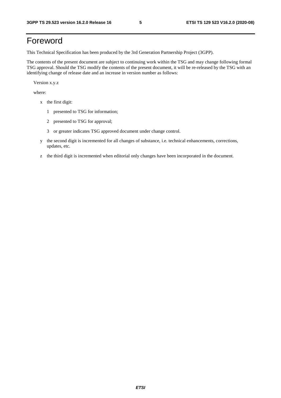## Foreword

This Technical Specification has been produced by the 3rd Generation Partnership Project (3GPP).

The contents of the present document are subject to continuing work within the TSG and may change following formal TSG approval. Should the TSG modify the contents of the present document, it will be re-released by the TSG with an identifying change of release date and an increase in version number as follows:

Version x.y.z

where:

- x the first digit:
	- 1 presented to TSG for information;
	- 2 presented to TSG for approval;
	- 3 or greater indicates TSG approved document under change control.
- y the second digit is incremented for all changes of substance, i.e. technical enhancements, corrections, updates, etc.
- z the third digit is incremented when editorial only changes have been incorporated in the document.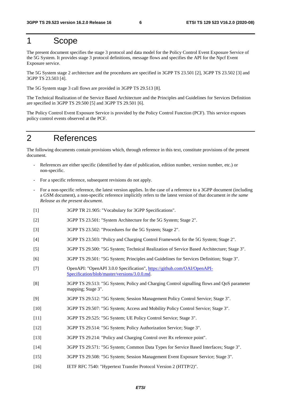## 1 Scope

The present document specifies the stage 3 protocol and data model for the Policy Control Event Exposure Service of the 5G System. It provides stage 3 protocol definitions, message flows and specifies the API for the Npcf Event Exposure service.

The 5G System stage 2 architecture and the procedures are specified in 3GPP TS 23.501 [2], 3GPP TS 23.502 [3] and 3GPP TS 23.503 [4].

The 5G System stage 3 call flows are provided in 3GPP TS 29.513 [8].

The Technical Realization of the Service Based Architecture and the Principles and Guidelines for Services Definition are specified in 3GPP TS 29.500 [5] and 3GPP TS 29.501 [6].

The Policy Control Event Exposure Service is provided by the Policy Control Function (PCF). This service exposes policy control events observed at the PCF.

## 2 References

The following documents contain provisions which, through reference in this text, constitute provisions of the present document.

- References are either specific (identified by date of publication, edition number, version number, etc.) or non-specific.
- For a specific reference, subsequent revisions do not apply.
- For a non-specific reference, the latest version applies. In the case of a reference to a 3GPP document (including a GSM document), a non-specific reference implicitly refers to the latest version of that document *in the same Release as the present document*.
- [1] 3GPP TR 21.905: "Vocabulary for 3GPP Specifications".
- [2] 3GPP TS 23.501: "System Architecture for the 5G System; Stage 2".
- [3] 3GPP TS 23.502: "Procedures for the 5G System; Stage 2".
- [4] 3GPP TS 23.503: "Policy and Charging Control Framework for the 5G System; Stage 2".
- [5] 3GPP TS 29.500: "5G System; Technical Realization of Service Based Architecture; Stage 3".
- [6] 3GPP TS 29.501: "5G System; Principles and Guidelines for Services Definition; Stage 3".
- [7] OpenAPI: "OpenAPI 3.0.0 Specification", [https://github.com/OAI/OpenAPI](https://github.com/OAI/OpenAPI-Specification/blob/master/versions/3.0.0.md)-[Specification/blob/master/versions/3.0.0.md](https://github.com/OAI/OpenAPI-Specification/blob/master/versions/3.0.0.md).
- [8] 3GPP TS 29.513: "5G System; Policy and Charging Control signalling flows and QoS parameter mapping; Stage 3".
- [9] 3GPP TS 29.512: "5G System; Session Management Policy Control Service; Stage 3".
- [10] 3GPP TS 29.507: "5G System; Access and Mobility Policy Control Service; Stage 3".
- [11] 3GPP TS 29.525: "5G System; UE Policy Control Service; Stage 3".
- [12] 3GPP TS 29.514: "5G System; Policy Authorization Service; Stage 3".
- [13] 3GPP TS 29.214: "Policy and Charging Control over Rx reference point".
- [14] 3GPP TS 29.571: "5G System; Common Data Types for Service Based Interfaces; Stage 3".
- [15] 3GPP TS 29.508: "5G System; Session Management Event Exposure Service; Stage 3".
- [16] IETF RFC 7540: "Hypertext Transfer Protocol Version 2 (HTTP/2)".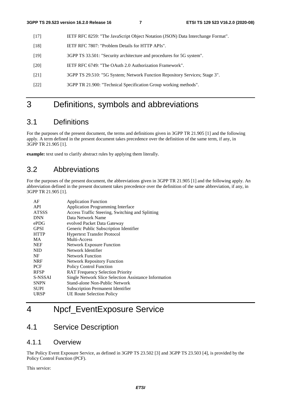- [17] IETF RFC 8259: "The JavaScript Object Notation (JSON) Data Interchange Format".
- [18] IETF RFC 7807: "Problem Details for HTTP APIs".
- [19] 3GPP TS 33.501: "Security architecture and procedures for 5G system".
- [20] IETF RFC 6749: "The OAuth 2.0 Authorization Framework".
- [21] 3GPP TS 29.510: "5G System; Network Function Repository Services; Stage 3".
- [22] 3GPP TR 21.900: "Technical Specification Group working methods".

## 3 Definitions, symbols and abbreviations

## 3.1 Definitions

For the purposes of the present document, the terms and definitions given in 3GPP TR 21.905 [1] and the following apply. A term defined in the present document takes precedence over the definition of the same term, if any, in 3GPP TR 21.905 [1].

**example:** text used to clarify abstract rules by applying them literally.

## 3.2 Abbreviations

For the purposes of the present document, the abbreviations given in 3GPP TR 21.905 [1] and the following apply. An abbreviation defined in the present document takes precedence over the definition of the same abbreviation, if any, in 3GPP TR 21.905 [1].

| AF           | <b>Application Function</b>                           |
|--------------|-------------------------------------------------------|
| API          | <b>Application Programming Interface</b>              |
| <b>ATSSS</b> | Access Traffic Steering, Switching and Splitting      |
| <b>DNN</b>   | Data Network Name                                     |
| $e$ PD $G$   | evolved Packet Data Gateway                           |
| <b>GPSI</b>  | Generic Public Subscription Identifier                |
| <b>HTTP</b>  | <b>Hypertext Transfer Protocol</b>                    |
| <b>MA</b>    | Multi-Access                                          |
| <b>NEF</b>   | <b>Network Exposure Function</b>                      |
| <b>NID</b>   | Network Identifier                                    |
| NF           | Network Function                                      |
| <b>NRF</b>   | <b>Network Repository Function</b>                    |
| <b>PCF</b>   | <b>Policy Control Function</b>                        |
| <b>RFSP</b>  | <b>RAT Frequency Selection Priority</b>               |
| S-NSSAI      | Single Network Slice Selection Assistance Information |
| <b>SNPN</b>  | Stand-alone Non-Public Network                        |
| <b>SUPI</b>  | <b>Subscription Permanent Identifier</b>              |
| URSP         | <b>UE Route Selection Policy</b>                      |

## 4 Npcf\_EventExposure Service

## 4.1 Service Description

## 4.1.1 Overview

The Policy Event Exposure Service, as defined in 3GPP TS 23.502 [3] and 3GPP TS 23.503 [4], is provided by the Policy Control Function (PCF).

This service: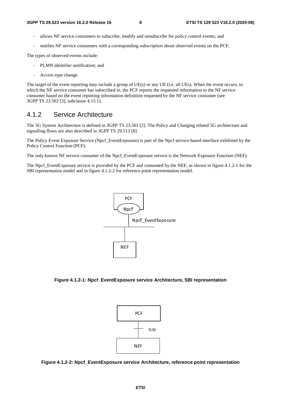- allows NF service consumers to subscribe, modify and unsubscribe for policy control events; and
- notifies NF service consumers with a corresponding subscription about observed events on the PCF.

The types of observed events include:

- PLMN identifier notification; and
- Access type change.

The target of the event reporting may include a group of UE(s) or any UE (i.e. all UEs). When the event occurs, to which the NF service consumer has subscribed to, the PCF reports the requested information to the NF service consumer based on the event reporting information definition requested by the NF service consumer (see 3GPP TS 23.502 [3], subclause 4.15.1).

### 4.1.2 Service Architecture

The 5G System Architecture is defined in 3GPP TS 23.501 [2]. The Policy and Charging related 5G architecture and signalling flows are also described in 3GPP TS 29.513 [8].

The Policy Event Exposure Service (Npcf\_EventExposure) is part of the Npcf service-based interface exhibited by the Policy Control Function (PCF).

The only known NF service consumer of the Npcf\_EventExposure service is the Network Exposure Function (NEF).

The Npcf\_EventExposure service is provided by the PCF and consumed by the NEF, as shown in figure 4.1.2-1 for the SBI representation model and in figure 4.1.2-2 for reference point representation model.



**Figure 4.1.2-1: Npcf\_EventExposure service Architecture, SBI representation** 



**Figure 4.1.2-2: Npcf\_EventExposure service Architecture, reference point representation**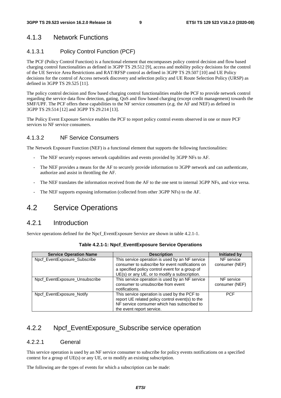## 4.1.3 Network Functions

### 4.1.3.1 Policy Control Function (PCF)

The PCF (Policy Control Function) is a functional element that encompasses policy control decision and flow based charging control functionalities as defined in 3GPP TS 29.512 [9], access and mobility policy decisions for the control of the UE Service Area Restrictions and RAT/RFSP control as defined in 3GPP TS 29.507 [10] and UE Policy decisions for the control of Access network discovery and selection policy and UE Route Selection Policy (URSP) as defined in 3GPP TS 29.525 [11].

The policy control decision and flow based charging control functionalities enable the PCF to provide network control regarding the service data flow detection, gating, QoS and flow based charging (except credit management) towards the SMF/UPF. The PCF offers these capabilities to the NF service consumers (e.g. the AF and NEF) as defined in 3GPP TS 29.514 [12] and 3GPP TS 29.214 [13].

The Policy Event Exposure Service enables the PCF to report policy control events observed in one or more PCF services to NF service consumers.

#### 4.1.3.2 NF Service Consumers

The Network Exposure Function (NEF) is a functional element that supports the following functionalities:

- The NEF securely exposes network capabilities and events provided by 3GPP NFs to AF.
- The NEF provides a means for the AF to securely provide information to 3GPP network and can authenticate, authorize and assist in throttling the AF.
- The NEF translates the information received from the AF to the one sent to internal 3GPP NFs, and vice versa.
- The NEF supports exposing information (collected from other 3GPP NFs) to the AF.

## 4.2 Service Operations

### 4.2.1 Introduction

Service operations defined for the Npcf\_EventExposure Service are shown in table 4.2.1-1.

| <b>Service Operation Name</b>  | <b>Description</b>                               | Initiated by   |
|--------------------------------|--------------------------------------------------|----------------|
| Npcf EventExposure Subscribe   | This service operation is used by an NF service  | NF service     |
|                                | consumer to subscribe for event notifications on | consumer (NEF) |
|                                | a specified policy control event for a group of  |                |
|                                | UE(s) or any UE, or to modify a subscription.    |                |
| Npcf_EventExposure_Unsubscribe | This service operation is used by an NF service  | NF service     |
|                                | consumer to unsubscribe from event               | consumer (NEF) |
|                                | notifications.                                   |                |
| Npcf EventExposure Notify      | This service operation is used by the PCF to     | <b>PCF</b>     |
|                                | report UE related policy control event(s) to the |                |
|                                | NF service consumer which has subscribed to      |                |
|                                | the event report service.                        |                |

| Table 4.2.1-1: Npcf_EventExposure Service Operations |  |  |  |
|------------------------------------------------------|--|--|--|
|------------------------------------------------------|--|--|--|

## 4.2.2 Npcf EventExposure Subscribe service operation

#### 4.2.2.1 General

This service operation is used by an NF service consumer to subscribe for policy events notifications on a specified context for a group of UE(s) or any UE, or to modify an existing subscription.

The following are the types of events for which a subscription can be made: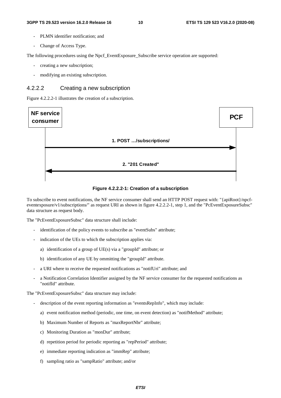- PLMN identifier notification; and
- Change of Access Type.

The following procedures using the Npcf. EventExposure. Subscribe service operation are supported:

- creating a new subscription;
- modifying an existing subscription.

### 4.2.2.2 Creating a new subscription

Figure 4.2.2.2-1 illustrates the creation of a subscription.



**Figure 4.2.2.2-1: Creation of a subscription** 

To subscribe to event notifications, the NF service consumer shall send an HTTP POST request with: "{apiRoot}/npcfeventexposure/v1/subscriptions/" as request URI as shown in figure 4.2.2.2-1, step 1, and the "PcEventExposureSubsc" data structure as request body.

The "PcEventExposureSubsc" data structure shall include:

- identification of the policy events to subscribe as "eventSubs" attribute;
- indication of the UEs to which the subscription applies via:
	- a) identification of a group of UE(s) via a "groupId" attribute; or
	- b) identification of any UE by ommitting the "groupId" attribute.
- a URI where to receive the requested notifications as "notifUri" attribute; and
- a Notification Correlation Identifier assigned by the NF service consumer for the requested notifications as "notifId" attribute.

The "PcEventExposureSubsc" data structure may include:

- description of the event reporting information as "eventsRepInfo", which may include:
	- a) event notification method (periodic, one time, on event detection) as "notifMethod" attribute;
	- b) Maximum Number of Reports as "maxReportNbr" attribute;
	- c) Monitoring Duration as "monDur" attribute;
	- d) repetition period for periodic reporting as "repPeriod" attribute;
	- e) immediate reporting indication as "immRep" attribute;
	- f) sampling ratio as "sampRatio" attribute; and/or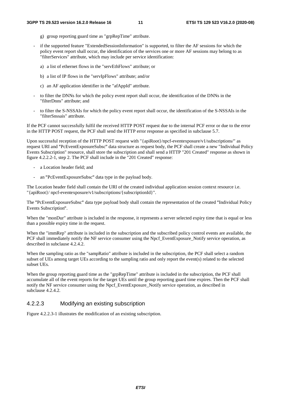- g) group reporting guard time as "grpRepTime" attribute.
- if the supported feature "ExtendedSessionInformation" is supported, to filter the AF sessions for which the policy event report shall occur, the identification of the services one or more AF sessions may belong to as "filterServices" attribute, which may include per service identification:
	- a) a list of ethernet flows in the "servEthFlows" attribute; or
	- b) a list of IP flows in the "servIpFlows" attribute; and/or
	- c) an AF application identifier in the "afAppId" attribute.
- to filter the DNNs for which the policy event report shall occur, the identification of the DNNs in the "filterDnns" attribute; and
- to filter the S-NSSAIs for which the policy event report shall occur, the identification of the S-NSSAIs in the "filterSnssais" attribute.

If the PCF cannot successfully fulfil the received HTTP POST request due to the internal PCF error or due to the error in the HTTP POST request, the PCF shall send the HTTP error response as specified in subclause 5.7.

Upon successful reception of the HTTP POST request with "{apiRoot}/npcf-eventexposure/v1/subscriptions/" as request URI and "PcEventExposureSubsc" data structure as request body, the PCF shall create a new "Individual Policy "PcEventExposureSubsc" data structure as request body, the PCF shall create a new "Individual Policy<br>ion" resource, shall store the subscription and shall send a HTTP "201 Created" response as shown in<br>step 2. The PCF shal Events Subscription" resource, shall store the subscription and shall send a HTTP "201 Created" response as shown in figure 4.2.2.2-1, step 2. The PCF shall include in the "201 Created" response:

- a Location header field; and
- an "PcEventExposureSubsc" data type in the payload body.

- an "PcEventExposureSubsc" data type in the payload body.<br>The Location header field shall contain the URI of the created individual application session context resource i.e. "{apiRoot}/ npcf-eventexposure/v1/subscriptions/{subscriptionId}".

The "PcEventExposureSubsc" data type payload body shall contain the representation of the created "Individual Policy Events Subscription

Events Subscription".<br>When the "monDur" attribute is included in the response, it represents a server selected expiry time that is equal or less than a possible expiry time in the request.

When the "immRep" attribute is included in the subscription and the subscribed policy control events are available, the PCF shall immediately notify the NF service consumer using the Npcf\_EventExposure\_Notify service operation, as described in subclause 4.2.4.2.

When the sampling ratio as the "sampRatio" attribute is included in the subscription, the PCF shall select a random subset of UEs among target UEs according to the sampling ratio and only report the event(s) related to the selected subset UEs.

When the group reporting guard time as the "grpRepTime" attribute is included in the subscription, the PCF shall accumulate all of the event reports for the target UEs until the group reporting guard time expires. Then the PCF shall notify the NF service consumer using the Npcf\_EventExposure\_Notify service operation, as described in subclause 4.2.4.2.

### 4.2.2.3 Modifying an existing subscription

Figure 4.2.2.3-1 illustrates the modification of an existing subscription.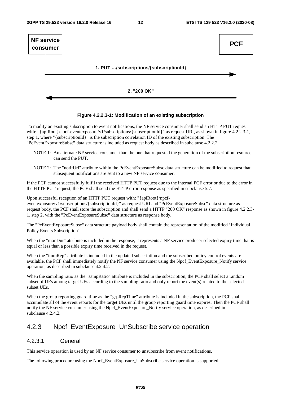

#### **Figure 4.2.2.3-1: Modification of an existing subscription**

To modify an existing subscription to event notifications, the NF service consumer shall send an HTTP PUT request with: "{apiRoot}/npcf-eventexposure/v1/subscriptions/{subscriptionId}" as request URI, as shown in figure 4.2.2.3-1, step 1, where "{subscriptionId}" is the subscription correlation ID of the existing subscription. The

- "PcEventExposureSubsc" data structure is included as request body as described in subclause 4.2.2.2. NOTE 1: An alternate NF service consumer than the one that requested the generation of the subscription resource can send the PUT.
	- NOTE 2: The "notifUri" attribute within the PcEventExposureSubsc data structure can be modified to request that subsequent notifications are sent to a new NF service consumer.

If the PCF cannot successfully fulfil the received HTTP PUT request due to the internal PCF error or due to the error in the HTTP PUT request, the PCF shall send the HTTP error response as specified in subclause 5.7.

Upon successful reception of an HTTP PUT request with: "{apiRoot}/npcfeventexposure/v1/subscriptions/{subscriptionId}" as request URI and "PcEventExposureSubsc" data structure as "PcEventExposureSubsc" data structure as<br>TP "200 OK" response as shown in figure 4<br>body. request body, the PCF shall store the subscription and shall send a HTTP "200 OK" response as shown in figure 4.2.2.3- 1, step 2, with the "PcEventExposureSubsc" data structure as response body.

1, step 2, with the "PcEventExposureSubsc" data structure as response body.<br>The "PcEventExposureSubsc" data structure payload body shall contain the representation of the modified "Individual<br>Policy Events Subscription". Policy Events Subscription".

Policy Events Subscription".<br>When the "monDur" attribute is included in the response, it represents a NF service producer selected expiry time that is equal or less than a possible expiry time received in the request.

When the "immRep" attribute is included in the updated subscription and the subscribed policy control events are available, the PCF shall immediately notify the NF service consumer using the Npcf\_EventExposure\_Notify service operation, as described in subclause 4.2.4.2.

When the sampling ratio as the "sampRatio" attribute is included in the subscription, the PCF shall select a random subset of UEs among target UEs according to the sampling ratio and only report the event(s) related to the selected subset UEs.

When the group reporting guard time as the "grpRepTime" attribute is included in the subscription, the PCF shall accumulate all of the event reports for the target UEs until the group reporting guard time expires. Then the PCF shall notify the NF service consumer using the Npcf\_EventExposure\_Notify service operation, as described in subclause 4.2.4.2.

## 4.2.3 Npcf\_EventExposure\_UnSubscribe service operation

### 4.2.3.1 General

This service operation is used by an NF service consumer to unsubscribe from event notifications.

The following procedure using the Npcf. EventExposure. UnSubscribe service operation is supported: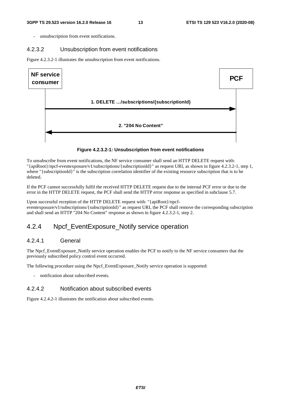unsubscription from event notifications.

#### 4.2.3.2 Unsubscription from event notifications

Figure 4.2.3.2-1 illustrates the unsubscription from event notifications.



**Figure 4.2.3.2-1: Unsubscription from event notifications** 

To unsubscribe from event notifications, the NF service consumer shall send an HTTP DELETE request with: "{apiRoot}/npcf-eventexposure/v1/subscriptions/{subscriptionId}" as request URI, as shown in figure 4.2.3.2-1, step 1, where "{subscriptionId}" is the subscription correlation identifier of the existing resource subscription that is to be deleted.

If the PCF cannot successfully fulfil the received HTTP DELETE request due to the internal PCF error or due to the error in the HTTP DELETE request, the PCF shall send the HTTP error response as specified in subclause 5.7.

Upon successful reception of the HTTP DELETE request with: "{apiRoot}/npcfeventexposure/v1/subscriptions/{subscriptionId}" as request URI, the PCF shall remove the corresponding subscription and shall send an HTTP "204 No Content" response as shown in figure 4.2.3.2-1, step 2.

## 4.2.4 Npcf EventExposure Notify service operation

### 4.2.4.1 General

The Npcf\_EventExposure\_Notify service operation enables the PCF to notify to the NF service consumers that the previously subscribed policy control event occurred.

The following procedure using the Npcf\_EventExposure\_Notify service operation is supported:

notification about subscribed events.

### 4.2.4.2 Notification about subscribed events

Figure 4.2.4.2-1 illustrates the notification about subscribed events.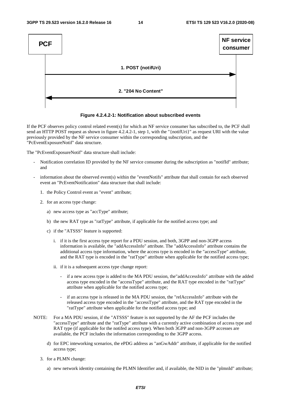



If the PCF observes policy control related event(s) for which an NF service consumer has subscribed to, the PCF shall send an HTTP POST request as shown in figure 4.2.4.2-1, step 1, with the "{notifUri}" as request URI with the value previously provided by the NF service consumer within the corresponding subscription, and the "PcEventExposureNotif" data structure.

The "PcEventExposureNotif" data structure shall include:

- Notification correlation ID provided by the NF service consumer during the subscription as "notifId" attribute; and
- information about the observed event(s) within the "eventNotifs" attribute that shall contain for each observed event an "PcEventNotification" data structure that shall include:
	- 1. the Policy Control event as "event" attribute;
	- 2. for an access type change:
		- a) new access type as "accType" attribute;
		- b) the new RAT type as "ratType" attribute, if applicable for the notified access type; and
		- c) if the "ATSSS" feature is supported:
			- i. if it is the first access type report for a PDU session, and both, 3GPP and non-3GPP access information is available, the "addAccessInfo" attribute. The "addAccessInfo" attribute contains the additional access type information, where the access type is encoded in the "accessType" attribute, and the RAT type is encoded in the "ratType" attribute when applicable for the notified access type;
			- ii. if it is a subsequent access type change report:
				- if a new access type is added to the MA PDU session, the"addAccessInfo" attribute with the added access type encoded in the "accessType" attribute, and the RAT type encoded in the "ratType" attribute when applicable for the notified access type;
				- if an access type is released in the MA PDU session, the "relAccessInfo" attribute with the released access type encoded in the "accessType" attribute, and the RAT type encoded in the "ratType" attribute when applicable for the notified access type; and
- NOTE: For a MA PDU session, if the "ATSSS" feature is not supported by the AF the PCF includes the "accessType" attribute and the "ratType" attribute with a currently active combination of access type and RAT type (if applicable for the notifed access type). When both 3GPP and non-3GPP accesses are available, the PCF includes the information corresponding to the 3GPP access.
	- d) for EPC inteworking scenarios, the ePDG address as "anGwAddr" attribute, if applicable for the notified access type;
	- 3. for a PLMN change:
		- a) new network identity containing the PLMN Identifier and, if available, the NID in the "plmnId" attribute;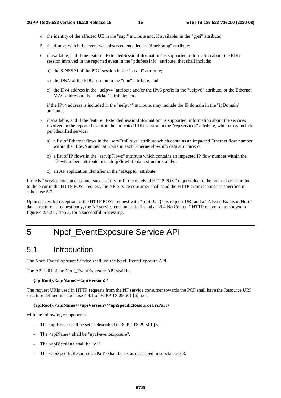- 4. the identity of the affected UE in the "supi" attribute and, if available, in the "gpsi" attribute;
- 5. the time at which the event was observed encoded as "timeStamp" attribute;
- 6. if available, and if the feature "ExtendedSessionInformation" is supported, information about the PDU session involved in the reported event in the "pduSessInfo" attribute, that shall include:
	- a) the S-NSSAI of the PDU session in the "snssai" attribute;
	- b) the DNN of the PDU session in the "dnn" attribute; and
	- c) the IPv4 address in the "ueIpv4" attribute and/or the IPv6 prefix in the "ueIpv6" attribute, or the Ethernet MAC address in the "ueMac" attribute; and

if the IPv4 address is included in the "ueIpv4" attribute, may include the IP domain in the "ipDomain" attribute;

- 7. if available, and if the feature "ExtendedSessionInformation" is supported, information about the services involved in the reported event in the indicated PDU session in the "repServices" attribute, which may include per identified service:
	- a) a list of Ethernet flows in the "servEthFlows" attribute which contains an impacted Ethernet flow number within the "flowNumber" attribute in each EthernetFlowInfo data structure; or
	- b) a list of IP flows in the "servIpFlows" attribute which contains an impacted IP flow number within the "flowNumber" attribute in each IpFlowInfo data structure; and/or
	- c) an AF application identifier in the "afAppId" attribute.

If the NF service consumer cannot successfully fulfil the received HTTP POST request due to the internal error or due to the error in the HTTP POST request, the NF service consumer shall send the HTTP error response as specified in subclause 5.7.

Upon successful reception of the HTTP POST request with "{notifUri}" as request URI and a "PcEventExposureNotif" data structure as request body, the NF service consumer shall send a "204 No Content" HTTP response, as shown in figure 4.2.4.2-1, step 2, for a successful processing.

## 5 Npcf\_EventExposure Service API

## 5.1 Introduction

The Npcf\_EventExposure Service shall use the Npcf\_EventExposure API.

The API URI of the Npcf\_EventExposure API shall be:

#### **{apiRoot}/<apiName>/<apiVersion>/**

The request URIs used in HTTP requests from the NF service consumer towards the PCF shall have the Resource URI structure defined in subclause 4.4.1 of 3GPP TS 29.501 [6], i.e.:

#### **{apiRoot}/<apiName>/<apiVersion>/<apiSpecificResourceUriPart>**

with the following components:

- The {apiRoot} shall be set as described in 3GPP TS 29.501 [6].
- The <apiName> shall be "npcf-eventexposure".
- The  $\langle$ apiVersion $>$ shall be "v1".
- The <apiSpecificResourceUriPart> shall be set as described in subclause 5.3.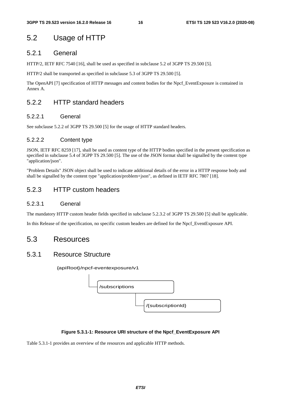## 5.2 Usage of HTTP

## 5.2.1 General

HTTP/2, IETF RFC 7540 [16], shall be used as specified in subclause 5.2 of 3GPP TS 29.500 [5].

HTTP/2 shall be transported as specified in subclause 5.3 of 3GPP TS 29.500 [5].

The OpenAPI [7] specification of HTTP messages and content bodies for the Npcf\_EventExposure is contained in Annex A.

## 5.2.2 HTTP standard headers

### 5.2.2.1 General

See subclause 5.2.2 of 3GPP TS 29.500 [5] for the usage of HTTP standard headers.

### 5.2.2.2 Content type

JSON, IETF RFC 8259 [17], shall be used as content type of the HTTP bodies specified in the present specification as specified in subclause 5.4 of 3GPP TS 29.500 [5]. The use of the JSON format shall be signalled by the content type "application/json".

"Problem Details" JSON object shall be used to indicate additional details of the error in a HTTP response body and shall be signalled by the content type "application/problem+json", as defined in IETF RFC 7807 [18].

## 5.2.3 HTTP custom headers

### 5.2.3.1 General

The mandatory HTTP custom header fields specified in subclause 5.2.3.2 of 3GPP TS 29.500 [5] shall be applicable.

In this Release of the specification, no specific custom headers are defined for the Npcf\_EventExposure API.

## 5.3 Resources

## 5.3.1 Resource Structure

{apiRoot}/npcf-eventexposure/v1



### **Figure 5.3.1-1: Resource URI structure of the Npcf\_EventExposure API**

Table 5.3.1-1 provides an overview of the resources and applicable HTTP methods.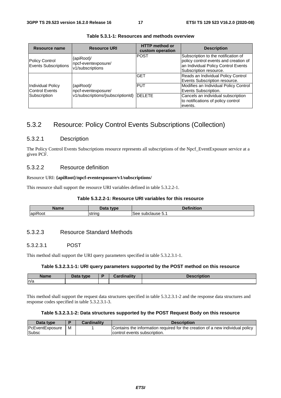| Resource name                                     | <b>Resource URI</b>                                                            | <b>HTTP</b> method or<br>custom operation | <b>Description</b>                                                                                                                            |
|---------------------------------------------------|--------------------------------------------------------------------------------|-------------------------------------------|-----------------------------------------------------------------------------------------------------------------------------------------------|
| <b>Policy Control</b><br>Events Subscriptions     | {apiRoot}/<br>npcf-eventexposure/<br>v1/subscriptions                          | <b>POST</b>                               | Subscription to the notification of<br>policy control events and creation of<br>an Individual Policy Control Events<br>Subscription resource. |
|                                                   |                                                                                | <b>GET</b>                                | Reads an Individual Policy Control<br>Events Subscription resource.                                                                           |
| <b>Individual Policy</b><br><b>Control Events</b> | {apiRoot}/<br>npcf-eventexposure/<br>v1/subscriptions/{subscriptionId}  DELETE | <b>PUT</b>                                | Modifies an Individual Policy Control<br>Events Subscription.                                                                                 |
| Subscription                                      |                                                                                |                                           | Cancels an individual subscription<br>to notifications of policy control<br>events.                                                           |

**Table 5.3.1-1: Resources and methods overview** 

## 5.3.2 Resource: Policy Control Events Subscriptions (Collection)

#### 5.3.2.1 Description

The Policy Control Events Subscriptions resource represents all subscriptions of the Npcf\_EventExposure service at a given PCF.

#### 5.3.2.2 Resource definition

#### Resource URI: **{apiRoot}/npcf-eventexposure/v1/subscriptions/**

This resource shall support the resource URI variables defined in table 5.3.2.2-1.

### **Table 5.3.2.2-1: Resource URI variables for this resource**

| 10000                               | <b>Data</b><br>tvne<br>- - | .                    |
|-------------------------------------|----------------------------|----------------------|
| $\overline{\phantom{a}}$<br>apiRoot | strinc                     | subclause 5.1<br>See |

#### 5.3.2.3 Resource Standard Methods

#### 5.3.2.3.1 POST

This method shall support the URI query parameters specified in table 5.3.2.3.1-1.

#### **Table 5.3.2.3.1-1: URI query parameters supported by the POST method on this resource**

| <b>Name</b> | <b>Data type</b><br>Data | ويتفارا ومستقلة ويست |  |
|-------------|--------------------------|----------------------|--|
| ln/a        |                          |                      |  |

This method shall support the request data structures specified in table 5.3.2.3.1-2 and the response data structures and response codes specified in table 5.3.2.3.1-3.

#### **Table 5.3.2.3.1-2: Data structures supported by the POST Request Body on this resource**

| Data type       |   | <b>Cardinality</b> | <b>Description</b>                                                            |
|-----------------|---|--------------------|-------------------------------------------------------------------------------|
| PcEventExposure | M |                    | Contains the information required for the creation of a new individual policy |
| <b>Subsc</b>    |   |                    | control events subscription.                                                  |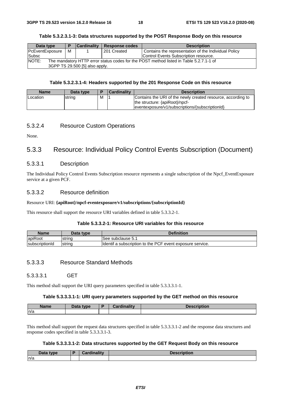| Data type                                                                                              | D | <b>Cardinality</b> | Response codes | <b>Description</b>                                   |  |
|--------------------------------------------------------------------------------------------------------|---|--------------------|----------------|------------------------------------------------------|--|
| <b>PcEventExposure</b>                                                                                 | м |                    | 201 Created    | Contains the representation of the Individual Policy |  |
| Subsc                                                                                                  |   |                    |                | Control Events Subscription resource.                |  |
| <b>NOTE:</b><br>The mandatory HTTP error status codes for the POST method listed in Table 5.2.7.1-1 of |   |                    |                |                                                      |  |
| 3GPP TS 29.500 [5] also apply.                                                                         |   |                    |                |                                                      |  |

#### **Table 5.3.2.3.1-3: Data structures supported by the POST Response Body on this resource**

#### **Table 5.3.2.3.1-4: Headers supported by the 201 Response Code on this resource**

| <b>Name</b> | Data type |   | <b>Cardinality</b> | <b>Description</b>                                                                                                                                 |
|-------------|-----------|---|--------------------|----------------------------------------------------------------------------------------------------------------------------------------------------|
| Location    | string    | M |                    | Contains the URI of the newly created resource, according to<br>the structure: {apiRoot}/npcf-<br> eventexposure/v1/subscriptions/{subscriptionId} |

#### 5.3.2.4 Resource Custom Operations

None.

## 5.3.3 Resource: Individual Policy Control Events Subscription (Document)

### 5.3.3.1 Description

The Individual Policy Control Events Subscription resource represents a single subscription of the Npcf\_EventExposure service at a given PCF.

#### 5.3.3.2 Resource definition

#### Resource URI: **{apiRoot}/npcf-eventexposure/v1/subscriptions/{subscriptionId}**

This resource shall support the resource URI variables defined in table 5.3.3.2-1.

#### **Table 5.3.3.2-1: Resource URI variables for this resource**

| Name                   | Data type | <b>Definition</b>                                          |
|------------------------|-----------|------------------------------------------------------------|
| apiRoot                | strina    | lSee subclause 5.1                                         |
| <b>IsubscriptionId</b> | Istrina   | Ildentif a subscription to the PCF event exposure service. |

### 5.3.3.3 Resource Standard Methods

5.3.3.3.1 GET

This method shall support the URI query parameters specified in table 5.3.3.3.1-1.

#### **Table 5.3.3.3.1-1: URI query parameters supported by the GET method on this resource**

| <b>Name</b> | <b>Dota</b><br>tyne | 0 - - - - 1 : - - 1 : 1 : - - | <b>Description</b> |
|-------------|---------------------|-------------------------------|--------------------|
| n/a         |                     |                               |                    |

This method shall support the request data structures specified in table 5.3.3.3.1-2 and the response data structures and response codes specified in table 5.3.3.3.1-3.

#### **Table 5.3.3.3.1-2: Data structures supported by the GET Request Body on this resource**

| That<br><b>tyne</b><br>Dala | <br><b>BR</b> | --<br><b>Descr</b><br><b>MIDUOIL</b> |
|-----------------------------|---------------|--------------------------------------|
| ln/a                        |               |                                      |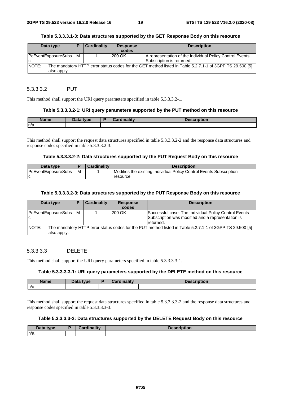#### **Table 5.3.3.3.1-3: Data structures supported by the GET Response Body on this resource**

| Data type                      | Е                                                                                                        | <b>Cardinality</b> | <b>Response</b><br>codes | <b>Description</b>                                                                    |  |  |
|--------------------------------|----------------------------------------------------------------------------------------------------------|--------------------|--------------------------|---------------------------------------------------------------------------------------|--|--|
| PcEventExposureSubs   M<br>IC. |                                                                                                          |                    | 200 OK                   | A representation of the Individual Policy Control Events<br>Subscription is returned. |  |  |
| <b>NOTE:</b><br>also apply.    | The mandatory HTTP error status codes for the GET method listed in Table 5.2.7.1-1 of 3GPP TS 29.500 [5] |                    |                          |                                                                                       |  |  |

#### 5.3.3.3.2 PUT

This method shall support the URI query parameters specified in table 5.3.3.3.2-1.

#### **Table 5.3.3.3.2-1: URI query parameters supported by the PUT method on this resource**

| <b>Name</b> | Data type | <b>Cardinality</b> | <b>Description</b> |
|-------------|-----------|--------------------|--------------------|
| n/a         |           |                    |                    |

This method shall support the request data structures specified in table 5.3.3.3.2-2 and the response data structures and response codes specified in table 5.3.3.3.2-3.

#### **Table 5.3.3.3.2-2: Data structures supported by the PUT Request Body on this resource**

| Data type                  |   | <b>Cardinality</b> | <b>Description</b>                                                  |
|----------------------------|---|--------------------|---------------------------------------------------------------------|
| <b>PcEventExposureSubs</b> | м |                    | Modifies the existing Individual Policy Control Events Subscription |
|                            |   |                    | resource.                                                           |

#### **Table 5.3.3.3.2-3: Data structures supported by the PUT Response Body on this resource**

| Data type                   | P | <b>Cardinality</b> | <b>Response</b><br>codes | <b>Description</b>                                                                                                      |
|-----------------------------|---|--------------------|--------------------------|-------------------------------------------------------------------------------------------------------------------------|
| PcEventExposureSubs M<br>ΙC |   |                    | 200 OK                   | Successful case: The Individual Policy Control Events<br>Subscription was modified and a representation is<br>returned. |
| NOTE:<br>also apply.        |   |                    |                          | The mandatory HTTP error status codes for the PUT method listed in Table 5.2.7.1-1 of 3GPP TS 29.500 [5]                |

#### 5.3.3.3.3 DELETE

This method shall support the URI query parameters specified in table 5.3.3.3.3-1.

#### **Table 5.3.3.3.3-1: URI query parameters supported by the DELETE method on this resource**

| <b>Name</b> | Data type | B | <b>Cardinality</b> | <b>Description</b> |
|-------------|-----------|---|--------------------|--------------------|
| n/a         |           |   |                    |                    |

This method shall support the request data structures specified in table 5.3.3.3.3-2 and the response data structures and response codes specified in table 5.3.3.3.3-3.

#### **Table 5.3.3.3.3-2: Data structures supported by the DELETE Request Body on this resource**

| Data type | $\mathcal{O}$ and in all in<br>Cardinality | <b>Description</b> |
|-----------|--------------------------------------------|--------------------|
| ln/a      |                                            |                    |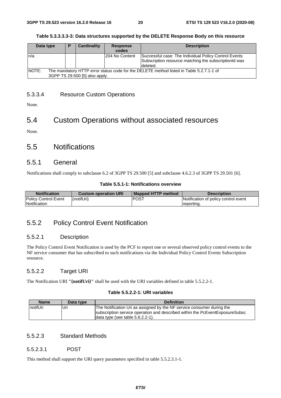#### **Table 5.3.3.3.3-3: Data structures supported by the DELETE Response Body on this resource**

| Data type | D                                                                                                                         | <b>Cardinality</b> | <b>Response</b><br>codes | <b>Description</b>                                                                                                         |  |  |
|-----------|---------------------------------------------------------------------------------------------------------------------------|--------------------|--------------------------|----------------------------------------------------------------------------------------------------------------------------|--|--|
| ln/a      |                                                                                                                           |                    | 204 No Content           | Successful case: The Individual Policy Control Events<br>Subscription resource matching the subscription d was<br>deleted. |  |  |
| INOTE:    | The mandatory HTTP error status code for the DELETE method listed in Table 5.2.7.1-1 of<br>3GPP TS 29.500 [5] also apply. |                    |                          |                                                                                                                            |  |  |

## 5.3.3.4 Resource Custom Operations

None.

## 5.4 Custom Operations without associated resources

None.

## 5.5 Notifications

### 5.5.1 General

Notifications shall comply to subclause 6.2 of 3GPP TS 29.500 [5] and subclause 4.6.2.3 of 3GPP TS 29.501 [6].

#### **Table 5.5.1-1: Notifications overview**

| <b>Notification</b>  | <b>Custom operation URI</b> | l Mapped HTTP method | <b>Description</b>                   |
|----------------------|-----------------------------|----------------------|--------------------------------------|
| Policy Control Event | {notifUri}                  | <b>IPOST</b>         | Notification of policy control event |
| Notification         |                             |                      | reporting.                           |

## 5.5.2 Policy Control Event Notification

### 5.5.2.1 Description

The Policy Control Event Notification is used by the PCF to report one or several observed policy control events to the NF service consumer that has subscribed to such notifications via the Individual Policy Control Events Subscription resource.

### 5.5.2.2 Target URI

The Notification URI **"{notifUri}"** shall be used with the URI variables defined in table 5.5.2.2-1.

#### **Table 5.5.2.2-1: URI variables**

| <b>Name</b> | Data type | <b>Definition</b>                                                            |
|-------------|-----------|------------------------------------------------------------------------------|
| InotifUri   | Uri       | The Notification Uri as assigned by the NF service consumer during the       |
|             |           | subscription service operation and described within the PcEventExposureSubsc |
|             |           | data type (see table 5.6.2.2-1).                                             |

### 5.5.2.3 Standard Methods

#### 5.5.2.3.1 POST

This method shall support the URI query parameters specified in table 5.5.2.3.1-1.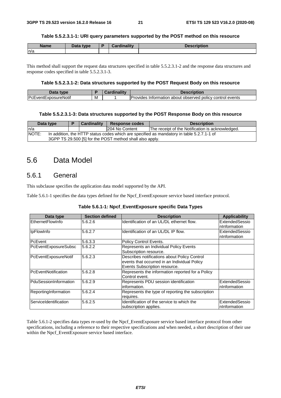#### **Table 5.5.2.3.1-1: URI query parameters supported by the POST method on this resource**

| <b>Name</b> | Data type<br><u>ala</u> | <b>Cardinality</b> | <b>Description</b> |
|-------------|-------------------------|--------------------|--------------------|
| n/a         |                         |                    |                    |

This method shall support the request data structures specified in table 5.5.2.3.1-2 and the response data structures and response codes specified in table 5.5.2.3.1-3.

#### **Table 5.5.2.3.1-2: Data structures supported by the POST Request Body on this resource**

| Data<br><b>type</b>          |   | <br>Description                                                 |
|------------------------------|---|-----------------------------------------------------------------|
| <b>IPcEventExposureNotif</b> | M | Provides<br>about observed policy control events<br>lntormation |

#### **Table 5.5.2.3.1-3: Data structures supported by the POST Response Body on this resource**

| Data type                                                                                          |  | <b>Cardinality</b> | <b>Response codes</b> | <b>Description</b>                               |  |
|----------------------------------------------------------------------------------------------------|--|--------------------|-----------------------|--------------------------------------------------|--|
| In/a                                                                                               |  |                    | 204 No Content        | The receipt of the Notification is acknowledged. |  |
| NOTE:<br>In addition, the HTTP status codes which are specified as mandatory in table 5.2.7.1-1 of |  |                    |                       |                                                  |  |
| 3GPP TS 29.500 [5] for the POST method shall also apply.                                           |  |                    |                       |                                                  |  |

## 5.6 Data Model

## 5.6.1 General

This subclause specifies the application data model supported by the API.

Table 5.6.1-1 specifies the data types defined for the Npcf\_EventExposure service based interface protocol.

| Data type             | <b>Section defined</b> | <b>Description</b>                                                                                                            | <b>Applicability</b>            |
|-----------------------|------------------------|-------------------------------------------------------------------------------------------------------------------------------|---------------------------------|
| EthernetFlowInfo      | 5.6.2.6                | Identification of an UL/DL ethernet flow.                                                                                     | ExtendedSessio<br>nInformation  |
| IpFlowInfo            | 5.6.2.7                | Identification of an UL/DL IP flow.                                                                                           | ExtendedSessio<br>InInformation |
| <b>PcEvent</b>        | 5.6.3.3                | Policy Control Events.                                                                                                        |                                 |
| PcEventExposureSubsc  | 5.6.2.2                | Represents an Individual Policy Events<br>Subscription resource.                                                              |                                 |
| PcEventExposureNotif  | 5.6.2.3                | Describes notifications about Policy Control<br>events that occurred in an Individual Policy<br>Events Subscription resource. |                                 |
| PcEventNotification   | 5.6.2.8                | Represents the information reported for a Policy<br>Control event.                                                            |                                 |
| PduSessionInformation | 5.6.2.9                | Represents PDU session identification<br>information.                                                                         | ExtendedSessio<br>nInformation  |
| ReportingInformation  | 5.6.2.4                | Represents the type of reporting the subscription<br>requires.                                                                |                                 |
| ServiceIdentification | 5.6.2.5                | Identification of the service to which the<br>subscription applies.                                                           | ExtendedSessio<br>nInformation  |

Table 5.6.1-2 specifies data types re-used by the Npcf\_EventExposure service based interface protocol from other specifications, including a reference to their respective specifications and when needed, a short description of their use within the Npcf\_EventExposure service based interface.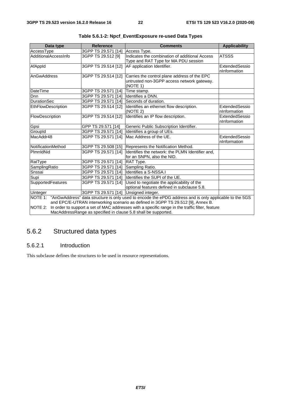| Data type                                                      | <b>Reference</b>                      | <b>Comments</b>                                                                                        | <b>Applicability</b> |  |  |  |  |
|----------------------------------------------------------------|---------------------------------------|--------------------------------------------------------------------------------------------------------|----------------------|--|--|--|--|
| AccessType                                                     | 3GPP TS 29.571 [14]                   | Access Type.                                                                                           |                      |  |  |  |  |
| AdditionalAccessInfo                                           | 3GPP TS 29.512 [9]                    | Indicates the combination of additional Access                                                         | <b>ATSSS</b>         |  |  |  |  |
|                                                                |                                       | Type and RAT Type for MA PDU session                                                                   |                      |  |  |  |  |
| AfAppId                                                        | 3GPP TS 29.514 [12]                   | AF application Identifier.                                                                             | ExtendedSessio       |  |  |  |  |
|                                                                |                                       |                                                                                                        | nInformation         |  |  |  |  |
| AnGwAddress                                                    | 3GPP TS 29.514 [12]                   | Carries the control plane address of the EPC                                                           |                      |  |  |  |  |
|                                                                |                                       | untrusted non-3GPP access network gateway.                                                             |                      |  |  |  |  |
|                                                                |                                       | (NOTE 1)                                                                                               |                      |  |  |  |  |
| <b>DateTime</b>                                                | 3GPP TS 29.571 [14]                   | Time stamp.                                                                                            |                      |  |  |  |  |
| Dnn                                                            | 3GPP TS 29.571 [14]                   | Identifies a DNN.                                                                                      |                      |  |  |  |  |
| <b>DurationSec</b>                                             | 3GPP TS 29.571 [14]                   | Seconds of duration.                                                                                   |                      |  |  |  |  |
| EthFlowDescription                                             | 3GPP TS 29.514 [12]                   | Identifies an ethernet flow description.                                                               | ExtendedSessio       |  |  |  |  |
|                                                                |                                       | (NOTE 2)                                                                                               | nInformation         |  |  |  |  |
| FlowDescription                                                | 3GPP TS 29.514 [12]                   | Identifies an IP flow description.                                                                     | ExtendedSessio       |  |  |  |  |
|                                                                |                                       |                                                                                                        | nInformation         |  |  |  |  |
| Gpsi                                                           | GPP TS 29.571 [14]                    | Generic Public Subscription Identifier.                                                                |                      |  |  |  |  |
| GroupId                                                        | 3GPP TS 29.571 [14]                   | Identifies a group of UEs.                                                                             |                      |  |  |  |  |
| MacAddr48                                                      |                                       | 3GPP TS 29.571 [14] Mac Address of the UE.                                                             | ExtendedSessio       |  |  |  |  |
|                                                                |                                       |                                                                                                        | nInformation         |  |  |  |  |
| NotificationMethod                                             | 3GPP TS 29.508 [15]                   | Represents the Notification Method.                                                                    |                      |  |  |  |  |
| PimnidNid                                                      | 3GPP TS 29.571 [14]                   | Identifies the network: the PLMN Identifier and,                                                       |                      |  |  |  |  |
|                                                                |                                       | for an SNPN, also the NID.                                                                             |                      |  |  |  |  |
| RatType                                                        | 3GPP TS 29.571 [14]                   | RAT Type.                                                                                              |                      |  |  |  |  |
| SamplingRatio                                                  | 3GPP TS 29.571 [14]                   | Sampling Ratio.                                                                                        |                      |  |  |  |  |
| Snssai                                                         | 3GPP TS 29.571 [14]                   | Identifies a S-NSSA.I                                                                                  |                      |  |  |  |  |
| Supi                                                           | 3GPP TS 29.571 [14]                   | Identifies the SUPI of the UE.                                                                         |                      |  |  |  |  |
| SupportedFeatures                                              |                                       | 3GPP TS 29.571 [14] Used to negotiate the applicability of the                                         |                      |  |  |  |  |
|                                                                |                                       | optional features defined in subclause 5.8.                                                            |                      |  |  |  |  |
| Uinteger                                                       | 3GPP TS 29.571 [14] Unsigned integer. |                                                                                                        |                      |  |  |  |  |
| NOTE 1:                                                        |                                       | "AnGwAddress" data structure is only used to encode the ePDG address and is only applicable to the 5GS |                      |  |  |  |  |
|                                                                |                                       | and EPC/E-UTRAN interworking scenario as defined in 3GPP TS 29.512 [9], Annex B.                       |                      |  |  |  |  |
| NOTE 2:                                                        |                                       | In order to support a set of MAC addresses with a specific range in the traffic filter, feature        |                      |  |  |  |  |
| MacAddressRange as specified in clause 5.8 shall be supported. |                                       |                                                                                                        |                      |  |  |  |  |

**Table 5.6.1-2: Npcf\_EventExposure re-used Data Types** 

## 5.6.2 Structured data types

### 5.6.2.1 Introduction

This subclause defines the structures to be used in resource representations.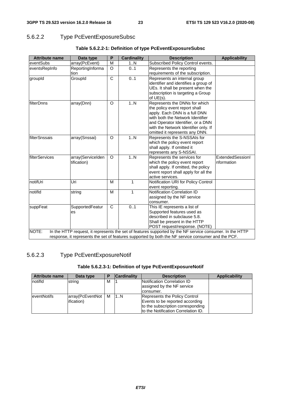## 5.6.2.2 Type PcEventExposureSubsc

| <b>Attribute name</b>  | Data type                        | P              | <b>Cardinality</b> | <b>Description</b>                                                                                                                                                                                                                                                                                                                                                           | <b>Applicability</b>           |
|------------------------|----------------------------------|----------------|--------------------|------------------------------------------------------------------------------------------------------------------------------------------------------------------------------------------------------------------------------------------------------------------------------------------------------------------------------------------------------------------------------|--------------------------------|
| eventSubs              | array(PcEvent)                   | M              | 1N                 | Subscribed Policy Control events.                                                                                                                                                                                                                                                                                                                                            |                                |
| eventsRepInfo          | ReportingInforma                 | $\Omega$       | 0.1                | Represents the reporting                                                                                                                                                                                                                                                                                                                                                     |                                |
|                        | tion                             |                |                    | requirements of the subscription.                                                                                                                                                                                                                                                                                                                                            |                                |
| groupId                | GroupId                          | $\overline{C}$ | 0.1                | Represents an internal group<br>identifier and identifies a group of<br>UEs. It shall be present when the<br>subscription is targeting a Group<br>of $UE(s)$ .                                                                                                                                                                                                               |                                |
| <b>IfilterDnns</b>     | array(Dnn)                       | O              | 1N                 | Represents the DNNs for which<br>the policy event report shall<br>apply. Each DNN is a full DNN<br>with both the Network Identifier<br>and Operator Identifier, or a DNN<br>with the Network Identifier only. If<br>omitted it represents any DNN.                                                                                                                           |                                |
| filterSnssais          | array(Snssai)                    | $\Omega$       | 1.N                | Represents the S-NSSAIs for<br>which the policy event report<br>shall apply. If omitted it<br>represents any S-NSSAI.                                                                                                                                                                                                                                                        |                                |
| <b>IfilterServices</b> | array(ServiceIden<br>tification) | $\circ$        | 1N                 | Represents the services for<br>which the policy event report<br>shall apply. If omitted, the policy<br>event report shall apply for all the<br>active services.                                                                                                                                                                                                              | ExtendedSessionI<br>nformation |
| notifUri               | Uri                              | M              | $\mathbf{1}$       | Notification URI for Policy Control<br>event reporting.                                                                                                                                                                                                                                                                                                                      |                                |
| notifld                | string                           | М              | $\mathbf{1}$       | Notification Correlation ID<br>assigned by the NF service<br>consumer.                                                                                                                                                                                                                                                                                                       |                                |
| suppFeat<br>NOTE:      | SupportedFeatur<br>es            | C              | 0.1                | This IE represents a list of<br>Supported features used as<br>described in subclause 5.8.<br>Shall be present in the HTTP<br>POST request/response. (NOTE)<br>In the HTTP request, it represents the set of features supported by the NF service consumer. In the HTTP<br>response, it represents the set of features supported by both the NF service consumer and the PCF. |                                |

## **Table 5.6.2.2-1: Definition of type PcEventExposureSubsc**

## 5.6.2.3 Type PcEventExposureNotif

### **Table 5.6.2.3-1: Definition of type PcEventExposureNotif**

| <b>Attribute name</b> | Data type                              |   | <b>Cardinality</b> | <b>Description</b>                                                                                                                            | <b>Applicability</b> |
|-----------------------|----------------------------------------|---|--------------------|-----------------------------------------------------------------------------------------------------------------------------------------------|----------------------|
| notifid               | string                                 | M |                    | <b>Notification Correlation ID</b><br>assigned by the NF service<br>consumer.                                                                 |                      |
| eventNotifs           | array(PcEventNot<br><i>ification</i> ) | M | 1N                 | Represents the Policy Control<br>Events to be reported according<br>to the subscription corresponding<br>Ito the Notification Correlation ID. |                      |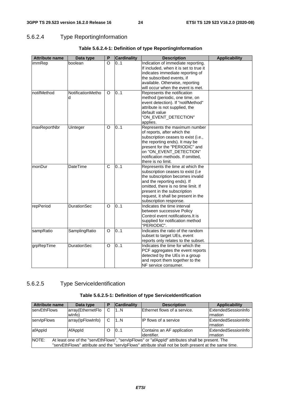## 5.6.2.4 Type ReportingInformation

| <b>Attribute name</b> | Data type              | P            | <b>Cardinality</b> | <b>Description</b>                                                                                                                                                                                                                                                              | <b>Applicability</b> |
|-----------------------|------------------------|--------------|--------------------|---------------------------------------------------------------------------------------------------------------------------------------------------------------------------------------------------------------------------------------------------------------------------------|----------------------|
| immRep                | boolean                | $\Omega$     | 0.1                | Indication of immediate reporting.<br>If included, when it is set to true it<br>indicates immediate reporting of<br>the subscribed events, if<br>available. Otherwise, reporting                                                                                                |                      |
|                       |                        |              |                    | will occur when the event is met.                                                                                                                                                                                                                                               |                      |
| notifMethod           | NotificationMetho<br>d | O            | 0.1                | Represents the notification<br>method (periodic, one time, on<br>event detection). If "notifMethod"<br>attribute is not supplied, the<br>default value<br>"ON_EVENT_DETECTION"<br>applies.                                                                                      |                      |
| maxReportNbr          | Uinteger               | $\Omega$     | 0.1                | Represents the maximum number<br>of reports, after which the<br>subscription ceases to exist (i.e.,<br>the reporting ends). It may be<br>present for the "PERIODIC" and<br>on "ON_EVENT_DETECTION"<br>notification methods. If omitted,<br>there is no limit.                   |                      |
| monDur                | <b>DateTime</b>        | $\mathsf{C}$ | 0.1                | Represents the time at which the<br>subscription ceases to exist (i.e<br>the subscription becomes invalid<br>and the reporting ends). If<br>omitted, there is no time limit. If<br>present in the subscription<br>request, it shall be present in the<br>subscription response. |                      |
| repPeriod             | <b>DurationSec</b>     | O            | 0.1                | Indicates the time interval<br>between successive Policy<br>Control event notifications. It is<br>supplied for notification method<br>"PERIODIC".                                                                                                                               |                      |
| sampRatio             | SamplingRatio          | O            | 0.1                | Indicates the ratio of the random<br>subset to target UEs, event<br>reports only relates to the subset.                                                                                                                                                                         |                      |
| grpRepTime            | <b>DurationSec</b>     | O            | 0.1                | Indicates the time for which the<br>PCF aggregates the event reports<br>detected by the UEs in a group<br>and report them together to the<br>NF service consumer.                                                                                                               |                      |

## **Table 5.6.2.4-1: Definition of type ReportingInformation**

## 5.6.2.5 Type ServiceIdentification

#### **Table 5.6.2.5-1: Definition of type ServiceIdentification**

| <b>Attribute name</b>                                                                                    | Data type         | P | <b>Cardinality</b> | <b>Description</b>           | Applicability               |
|----------------------------------------------------------------------------------------------------------|-------------------|---|--------------------|------------------------------|-----------------------------|
| servEthFlows                                                                                             | array(EthernetFlo | C | 1N                 | Ethernet flows of a service. | ExtendedSessionInfo         |
|                                                                                                          | wlnfo)            |   |                    |                              | <b>Imation</b>              |
| servipFlows                                                                                              | array(lpFlowInfo) | C | 1N                 | <b>IP flows of a service</b> | <b>IExtendedSessionInfo</b> |
|                                                                                                          |                   |   |                    |                              | <b>Irmation</b>             |
| afAppId                                                                                                  | AfAppId           | O | 0.1                | Contains an AF application   | <b>ExtendedSessionInfo</b>  |
|                                                                                                          |                   |   |                    | lidentifier.                 | Irmation                    |
| NOTE:<br>At least one of the "servEthFlows", "servipFlows" or "afAppId" attributes shall be present. The |                   |   |                    |                              |                             |
| "servEthFlows" attribute and the "servIpFlows" attribute shall not be both present at the same time.     |                   |   |                    |                              |                             |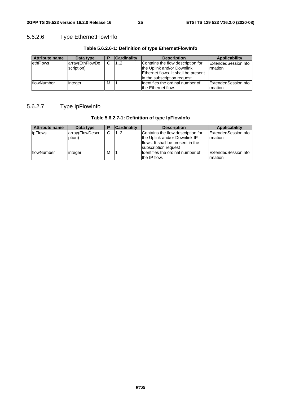## 5.6.2.6 Type EthernetFlowInfo

| <b>Attribute name</b> | Data type       |   | <b>Cardinality</b> | <b>Description</b>                  | Applicability       |
|-----------------------|-----------------|---|--------------------|-------------------------------------|---------------------|
| ethFlows              | array(EthFlowDe | C | 12                 | Contains the flow description for   | ExtendedSessionInfo |
|                       | scription)      |   |                    | the Uplink and/or Downlink          | Irmation            |
|                       |                 |   |                    | Ethernet flows. It shall be present |                     |
|                       |                 |   |                    | lin the subscription request.       |                     |
| flowNumber            | integer         | M |                    | Ildentifies the ordinal number of   | ExtendedSessionInfo |
|                       |                 |   |                    | the Ethernet flow.                  | Irmation            |

## **Table 5.6.2.6-1: Definition of type EthernetFlowInfo**

## 5.6.2.7 Type IpFlowInfo

| Table 5.6.2.7-1: Definition of type IpFlowInfo |  |  |
|------------------------------------------------|--|--|
|------------------------------------------------|--|--|

| <b>Attribute name</b> | Data type                  |   | <b>Cardinality</b> | <b>Description</b>                                                                                                              | <b>Applicability</b>                          |
|-----------------------|----------------------------|---|--------------------|---------------------------------------------------------------------------------------------------------------------------------|-----------------------------------------------|
| <b>ipFlows</b>        | array(FlowDescri<br>ption) | C | 12                 | Contains the flow description for<br>the Uplink and/or Downlink IP<br>flows. It shall be present in the<br>subscription request | <b>IExtendedSessionInfo</b><br><b>Imation</b> |
| flowNumber            | linteger                   | м |                    | Ildentifies the ordinal number of<br>the IP flow.                                                                               | ExtendedSessionInfo<br>rmation                |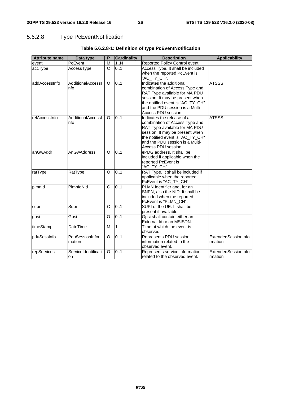## 5.6.2.8 Type PcEventNotification

| <b>Attribute name</b> | Data type                 | P                     | <b>Cardinality</b> | <b>Description</b>                                                                                                                                                                                                             | <b>Applicability</b>           |
|-----------------------|---------------------------|-----------------------|--------------------|--------------------------------------------------------------------------------------------------------------------------------------------------------------------------------------------------------------------------------|--------------------------------|
| event                 | PcEvent                   | M                     | 1N                 | Reported Policy Control event.                                                                                                                                                                                                 |                                |
| accType               | AccessType                | C                     | 0.1                | Access Type. It shall be included<br>when the reported PcEvent is<br>"AC_TY_CH".                                                                                                                                               |                                |
| addAccessInfo         | AdditionalAccessI<br>nfo  | O                     | 0.1                | Indicates the additional<br>combination of Access Type and<br>RAT Type available for MA PDU<br>session. It may be present when<br>the notified event is "AC_TY_CH"<br>and the PDU session is a Multi-<br>Access PDU session.   | <b>ATSSS</b>                   |
| relAccessInfo         | AdditionalAccessI<br>nfo  | $\circ$               | 0.1                | Indicates the release of a<br>combination of Access Type and<br>RAT Type available for MA PDU<br>session. It may be present when<br>the notified event is "AC_TY_CH"<br>and the PDU session is a Multi-<br>Access PDU session. | <b>ATSSS</b>                   |
| anGwAddr              | AnGwAddress               | $\Omega$              | 0.1                | ePDG address. It shall be<br>included if applicable when the<br>reported PcEvent is<br>"AC_TY_CH".                                                                                                                             |                                |
| ratType               | RatType                   | $\overline{O}$        | 0.1                | RAT Type. It shall be included if<br>applicable when the reported<br>PcEvent is "AC_TY_CH".                                                                                                                                    |                                |
| plmnld                | PlmnldNid                 | C                     | 0.1                | PLMN Identifier and, for an<br>SNPN, also the NID. It shall be<br>included when the reported<br>PcEvent is "PLMN_CH".                                                                                                          |                                |
| supi                  | Supi                      | $\overline{\text{c}}$ | 0.1                | SUPI of the UE. It shall be<br>present if available.                                                                                                                                                                           |                                |
| gpsi                  | Gpsi                      | O                     | 0.1                | Gpsi shall contain either an<br>External Id or an MSISDN.                                                                                                                                                                      |                                |
| timeStamp             | DateTime                  | M                     | $\mathbf{1}$       | Time at which the event is<br>observed.                                                                                                                                                                                        |                                |
| pduSessInfo           | PduSessionInfor<br>mation | O                     | 0.1                | Represents PDU session<br>information related to the<br>observed event.                                                                                                                                                        | ExtendedSessionInfo<br>rmation |
| repServices           | ServiceIdentificati<br>on | O                     | 0.1                | Represents service information<br>related to the observed event.                                                                                                                                                               | ExtendedSessionInfo<br>mation  |

## **Table 5.6.2.8-1: Definition of type PcEventNotification**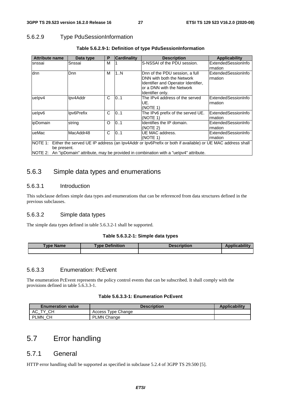## 5.6.2.9 Type PduSessionInformation

| <b>Attribute name</b>                                                                                            | Data type  | P | <b>Cardinality</b> | <b>Description</b>                  | Applicability       |
|------------------------------------------------------------------------------------------------------------------|------------|---|--------------------|-------------------------------------|---------------------|
| snssai                                                                                                           | Snssai     | М |                    | S-NSSAI of the PDU session.         | ExtendedSessionInfo |
|                                                                                                                  |            |   |                    |                                     | rmation             |
| dnn                                                                                                              | Dnn.       | M | 1N                 | Dnn of the PDU session, a full      | ExtendedSessionInfo |
|                                                                                                                  |            |   |                    | DNN with both the Network           | Irmation            |
|                                                                                                                  |            |   |                    | Identifier and Operator Identifier, |                     |
|                                                                                                                  |            |   |                    | or a DNN with the Network           |                     |
|                                                                                                                  |            |   |                    | Identifier only.                    |                     |
| uelpv4                                                                                                           | Ipv4Addr   | C | 0.1                | The IPv4 address of the served      | ExtendedSessionInfo |
|                                                                                                                  |            |   |                    | UE.                                 | rmation             |
|                                                                                                                  |            |   |                    | (NOTE 1)                            |                     |
| uelpv6                                                                                                           | Ipv6Prefix | C | 0.1                | The IPv6 prefix of the served UE.   | ExtendedSessionInfo |
|                                                                                                                  |            |   |                    | (NOTE 1)                            | rmation             |
| ipDomain                                                                                                         | string     | O | 0.1                | Identifies the IP domain.           | ExtendedSessionInfo |
|                                                                                                                  |            |   |                    | (NOTE 2)                            | Irmation            |
| ueMac                                                                                                            | MacAddr48  | C | 0.1                | UE MAC address.                     | ExtendedSessionInfo |
|                                                                                                                  |            |   |                    | (NOTE 1)                            | Irmation            |
| NOTE 1: Either the served UE IP address (an Ipv4Addr or Ipv6Prefix or both if available) or UE MAC address shall |            |   |                    |                                     |                     |
| be present.                                                                                                      |            |   |                    |                                     |                     |
| NOTE 2: An "ipDomain" attribute, may be provided in combination with a "uelpv4" attribute.                       |            |   |                    |                                     |                     |

### **Table 5.6.2.9-1: Definition of type PduSessionInformation**

## 5.6.3 Simple data types and enumerations

#### 5.6.3.1 Introduction

This subclause defines simple data types and enumerations that can be referenced from data structures defined in the previous subclauses.

#### 5.6.3.2 Simple data types

The simple data types defined in table 5.6.3.2-1 shall be supported.

#### **Table 5.6.3.2-1: Simple data types**

| vpe.<br><b>Name</b> | <b>Type Definition</b> | <b>Description</b> | - 5054 |
|---------------------|------------------------|--------------------|--------|
|                     |                        |                    |        |

### 5.6.3.3 Enumeration: PcEvent

The enumeration PcEvent represents the policy control events that can be subscribed. It shall comply with the provisions defined in table 5.6.3.3-1.

#### **Table 5.6.3.3-1: Enumeration PcEvent**

| <b>Enumeration value</b> | <b>Description</b>    | <b>Applicability</b> |
|--------------------------|-----------------------|----------------------|
| CН<br>АC<br>᠇᠕           | Type Change<br>Access |                      |
| PLMN CH                  | <b>PLMN Change</b>    |                      |

## 5.7 Error handling

### 5.7.1 General

HTTP error handling shall be supported as specified in subclause 5.2.4 of 3GPP TS 29.500 [5].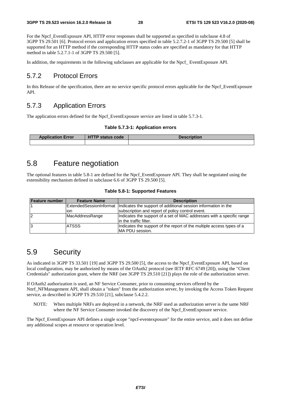For the Npcf\_EventExposure API, HTTP error responses shall be supported as specified in subclause 4.8 of 3GPP TS 29.501 [6]. Protocol errors and application errors specified in table 5.2.7.2-1 of 3GPP TS 29.500 [5] shall be supported for an HTTP method if the corresponding HTTP status codes are specified as mandatory for that HTTP method in table 5.2.7.1-1 of 3GPP TS 29.500 [5].

In addition, the requirements in the following subclauses are applicable for the Npcf EventExposure API.

## 5.7.2 Protocol Errors

In this Release of the specification, there are no service specific protocol errors applicable for the Npcf\_EventExposure API.

## 5.7.3 Application Errors

The application errors defined for the Npcf\_EventExposure service are listed in table 5.7.3-1.

#### **Table 5.7.3-1: Application errors**

| <b>Application Error</b> | <b>HTTP status code</b> | <b>Description</b> |
|--------------------------|-------------------------|--------------------|
|                          |                         |                    |

## 5.8 Feature negotiation

The optional features in table 5.8-1 are defined for the Npcf\_EventExposure API. They shall be negotiated using the extensibility mechanism defined in subclause 6.6 of 3GPP TS 29.500 [5].

|  |  | Table 5.8-1: Supported Features |  |
|--|--|---------------------------------|--|
|--|--|---------------------------------|--|

| Feature number | <b>Feature Name</b> | <b>Description</b>                                                                               |
|----------------|---------------------|--------------------------------------------------------------------------------------------------|
|                |                     | Extended Session Informat   Indicates the support of additional session information in the       |
|                | ion                 | subscription and report of policy control event.                                                 |
| $\overline{2}$ | MacAddressRange     | Indicates the support of a set of MAC addresses with a specific range<br>lin the traffic filter. |
| 13             | <b>ATSSS</b>        | Indicates the support of the report of the multiple access types of a<br><b>IMA PDU session.</b> |

## 5.9 Security

As indicated in 3GPP TS 33.501 [19] and 3GPP TS 29.500 [5], the access to the Npcf\_EventExposure API, based on local configuration, may be authorized by means of the OAuth2 protocol (see IETF RFC 6749 [20]), using the "Client Credentials" authorization grant, where the NRF (see 3GPP TS 29.510 [21]) plays the role of the authorization server.

If OAuth2 authorization is used, an NF Service Consumer, prior to consuming services offered by the Nnrf\_NFManagement API, shall obtain a "token" from the authorization server, by invoking the Access Token Request service, as described in 3GPP TS 29.510 [21], subclause 5.4.2.2.

NOTE: When multiple NRFs are deployed in a network, the NRF used as authorization server is the same NRF where the NF Service Consumer invoked the discovery of the Npcf\_EventExposure service.

The Npcf EventExposure API defines a single scope "npcf-eventexposure" for the entire service, and it does not define any additional scopes at resource or operation level.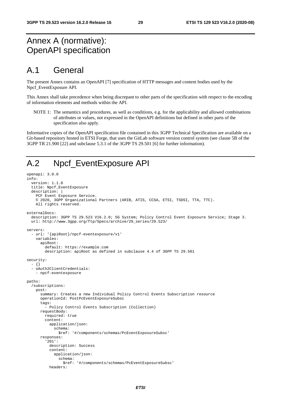## Annex A (normative): OpenAPI specification

## A.1 General

The present Annex contains an OpenAPI [7] specification of HTTP messages and content bodies used by the Npcf\_EventExposure API.

This Annex shall take precedence when being discrepant to other parts of the specification with respect to the encoding of information elements and methods within the API.

NOTE 1: The semantics and procedures, as well as conditions, e.g. for the applicability and allowed combinations of attributes or values, not expressed in the OpenAPI definitions but defined in other parts of the specification also apply.

Informative copies of the OpenAPI specification file contained in this 3GPP Technical Specification are available on a Git-based repository hosted in ETSI Forge, that uses the GitLab software version control system (see clause 5B of the 3GPP TR 21.900 [22] and subclause 5.3.1 of the 3GPP TS 29.501 [6] for further information).

## A.2 Npcf\_EventExposure API

```
openapi: 3.0.0 
info: 
   version: 1.1.0 
   title: Npcf_EventExposure 
   description: | 
     PCF Event Exposure Service. 
     © 2020, 3GPP Organizational Partners (ARIB, ATIS, CCSA, ETSI, TSDSI, TTA, TTC). 
     All rights reserved. 
externalDocs: 
   description: 3GPP TS 29.523 V16.2.0; 5G System; Policy Control Event Exposure Service; Stage 3. 
   url: http://www.3gpp.org/ftp/Specs/archive/29_series/29.523/ 
servers: 
   - url: '{apiRoot}/npcf-eventexposure/v1' 
     variables: 
       apiRoot: 
         default: https://example.com 
         description: apiRoot as defined in subclause 4.4 of 3GPP TS 29.501 
security: 
   - {} 
   - oAuth2ClientCredentials: 
     - npcf-eventexposure 
paths: 
   /subscriptions: 
     post: 
       summary: Creates a new Individual Policy Control Events Subscription resource 
       operationId: PostPcEventExposureSubsc 
       tags: 
         - Policy Control Events Subscription (Collection) 
       requestBody: 
         required: true 
         content: 
           application/json: 
              schema: 
               $ref: '#/components/schemas/PcEventExposureSubsc' 
       responses: 
          '201': 
           description: Success 
            content: 
              application/json: 
                schema: 
                  $ref: '#/components/schemas/PcEventExposureSubsc' 
           headers:
```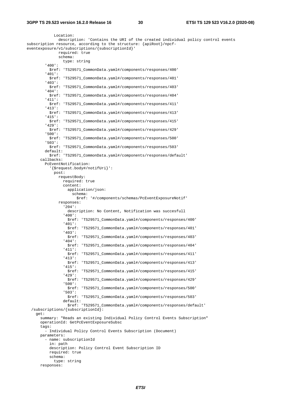Location: description: 'Contains the URI of the created individual policy control events subscription resource, according to the structure: {apiRoot}/npcfeventexposure/v1/subscriptions/{subscriptionId}' required: true schema: type: string '400': \$ref: 'TS29571\_CommonData.yaml#/components/responses/400' '401': \$ref: 'TS29571\_CommonData.yaml#/components/responses/401' '403': \$ref: 'TS29571\_CommonData.yaml#/components/responses/403' '404': \$ref: 'TS29571\_CommonData.yaml#/components/responses/404' '411': \$ref: 'TS29571\_CommonData.yaml#/components/responses/411' '413': \$ref: 'TS29571\_CommonData.yaml#/components/responses/413' '415': \$ref: 'TS29571\_CommonData.yaml#/components/responses/415' '429': \$ref: 'TS29571\_CommonData.yaml#/components/responses/429' '500': \$ref: 'TS29571\_CommonData.yaml#/components/responses/500' '503': \$ref: 'TS29571\_CommonData.yaml#/components/responses/503' default: \$ref: 'TS29571\_CommonData.yaml#/components/responses/default' callbacks: PcEventNotification: '{\$request.body#/notifUri}': post: requestBody: required: true content: application/json: schema: \$ref: '#/components/schemas/PcEventExposureNotif' responses: '204': description: No Content, Notification was succesfull '400': \$ref: 'TS29571\_CommonData.yaml#/components/responses/400' '401': \$ref: 'TS29571\_CommonData.yaml#/components/responses/401' '403': \$ref: 'TS29571\_CommonData.yaml#/components/responses/403' '404': \$ref: 'TS29571\_CommonData.yaml#/components/responses/404' '411': \$ref: 'TS29571\_CommonData.yaml#/components/responses/411' '413': \$ref: 'TS29571\_CommonData.yaml#/components/responses/413' '415': \$ref: 'TS29571\_CommonData.yaml#/components/responses/415' '429': \$ref: 'TS29571\_CommonData.yaml#/components/responses/429' '500': \$ref: 'TS29571\_CommonData.yaml#/components/responses/500' '503': \$ref: 'TS29571\_CommonData.yaml#/components/responses/503' default: \$ref: 'TS29571\_CommonData.yaml#/components/responses/default' /subscriptions/{subscriptionId}: get: summary: "Reads an existing Individual Policy Control Events Subscription" operationId: GetPcEventExposureSubsc tags: - Individual Policy Control Events Subscription (Document) parameters: - name: subscriptionId in: path description: Policy Control Event Subscription ID required: true schema: type: string responses: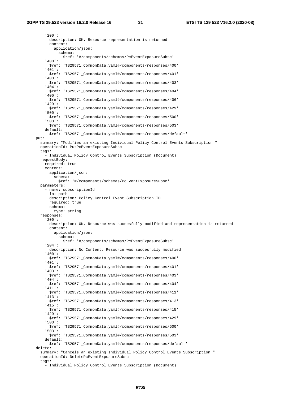'200': description: OK. Resource representation is returned content: application/json: schema: \$ref: '#/components/schemas/PcEventExposureSubsc' '400': \$ref: 'TS29571\_CommonData.yaml#/components/responses/400' '401': \$ref: 'TS29571\_CommonData.yaml#/components/responses/401' '403': \$ref: 'TS29571\_CommonData.yaml#/components/responses/403' '404': \$ref: 'TS29571\_CommonData.yaml#/components/responses/404' '406': \$ref: 'TS29571\_CommonData.yaml#/components/responses/406' '429': \$ref: 'TS29571\_CommonData.yaml#/components/responses/429' '500': \$ref: 'TS29571\_CommonData.yaml#/components/responses/500' '503': \$ref: 'TS29571\_CommonData.yaml#/components/responses/503' default: \$ref: 'TS29571\_CommonData.yaml#/components/responses/default' put: summary: "Modifies an existing Individual Policy Control Events Subscription " operationId: PutPcEventExposureSubsc tags: - Individual Policy Control Events Subscription (Document) requestBody: required: true content: application/json: schema: \$ref: '#/components/schemas/PcEventExposureSubsc' parameters: - name: subscriptionId in: path description: Policy Control Event Subscription ID required: true schema: type: string responses: '200': description: OK. Resource was succesfully modified and representation is returned content: application/json: schema: \$ref: '#/components/schemas/PcEventExposureSubsc' '204': description: No Content. Resource was succesfully modified '400': \$ref: 'TS29571\_CommonData.yaml#/components/responses/400' '401': \$ref: 'TS29571\_CommonData.yaml#/components/responses/401' '403': \$ref: 'TS29571\_CommonData.yaml#/components/responses/403' '404': \$ref: 'TS29571\_CommonData.yaml#/components/responses/404' '411': \$ref: 'TS29571\_CommonData.yaml#/components/responses/411' '413': \$ref: 'TS29571\_CommonData.yaml#/components/responses/413' '415': \$ref: 'TS29571\_CommonData.yaml#/components/responses/415' '429': \$ref: 'TS29571\_CommonData.yaml#/components/responses/429' '500': \$ref: 'TS29571\_CommonData.yaml#/components/responses/500' '503': \$ref: 'TS29571\_CommonData.yaml#/components/responses/503' default: \$ref: 'TS29571\_CommonData.yaml#/components/responses/default' delete: summary: "Cancels an existing Individual Policy Control Events Subscription " operationId: DeletePcEventExposureSubsc tags:

- Individual Policy Control Events Subscription (Document)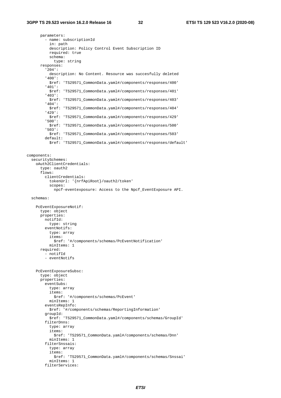parameters: - name: subscriptionId in: path description: Policy Control Event Subscription ID required: true schema: type: string responses: '204': description: No Content. Resource was succesfully deleted '400': \$ref: 'TS29571\_CommonData.yaml#/components/responses/400' '401': \$ref: 'TS29571\_CommonData.yaml#/components/responses/401' '403': \$ref: 'TS29571\_CommonData.yaml#/components/responses/403' '404': \$ref: 'TS29571\_CommonData.yaml#/components/responses/404' '429': \$ref: 'TS29571\_CommonData.yaml#/components/responses/429' '500': \$ref: 'TS29571\_CommonData.yaml#/components/responses/500' '503': \$ref: 'TS29571\_CommonData.yaml#/components/responses/503' default: \$ref: 'TS29571\_CommonData.yaml#/components/responses/default' components: securitySchemes: oAuth2ClientCredentials: type: oauth2 flows: clientCredentials: tokenUrl: '{nrfApiRoot}/oauth2/token' scopes: npcf-eventexposure: Access to the Npcf\_EventExposure API. schemas: PcEventExposureNotif: type: object properties: notifId: type: string eventNotifs: type: array items: \$ref: '#/components/schemas/PcEventNotification' minItems: 1 required: - notifId - eventNotifs PcEventExposureSubsc: type: object properties: eventSubs: type: array items: \$ref: '#/components/schemas/PcEvent' minItems: 1 eventsRepInfo: \$ref: '#/components/schemas/ReportingInformation' groupId: \$ref: 'TS29571\_CommonData.yaml#/components/schemas/GroupId' filterDnns: type: array items: \$ref: 'TS29571\_CommonData.yaml#/components/schemas/Dnn' minItems: 1 filterSnssais: type: array items: \$ref: 'TS29571\_CommonData.yaml#/components/schemas/Snssai' minItems: 1 filterServices: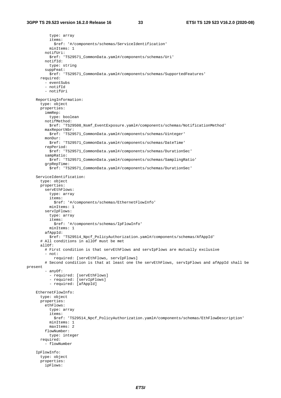type: array items: \$ref: '#/components/schemas/ServiceIdentification' minItems: 1 notifUri: \$ref: 'TS29571\_CommonData.yaml#/components/schemas/Uri' notifId: type: string suppFeat: \$ref: 'TS29571\_CommonData.yaml#/components/schemas/SupportedFeatures' required: - eventSubs - notifId - notifUri ReportingInformation: type: object properties: immRep: type: boolean notifMethod: \$ref: 'TS29508\_Nsmf\_EventExposure.yaml#/components/schemas/NotificationMethod' maxReportNbr: \$ref: 'TS29571\_CommonData.yaml#/components/schemas/Uinteger' monDur: \$ref: 'TS29571\_CommonData.yaml#/components/schemas/DateTime' repPeriod: \$ref: 'TS29571\_CommonData.yaml#/components/schemas/DurationSec' sampRatio: \$ref: 'TS29571\_CommonData.yaml#/components/schemas/SamplingRatio' grpRepTime: \$ref: 'TS29571\_CommonData.yaml#/components/schemas/DurationSec' ServiceIdentification: type: object properties: servEthFlows: type: array items: \$ref: '#/components/schemas/EthernetFlowInfo' minItems: 1 servIpFlows: type: array items: \$ref: '#/components/schemas/IpFlowInfo' minItems: 1 afAppId: \$ref: 'TS29514\_Npcf\_PolicyAuthorization.yaml#/components/schemas/AfAppId' # All conditions in allOf must be met allOf: # First condition is that servEthFlows and servIpFlows are mutually exclusive - not: required: [servEthFlows, servIpFlows] # Second condition is that at least one the servEthFlows, servIpFlows and afAppId shall be present - anyOf: - required: [servEthFlows] - required: [servIpFlows] - required: [afAppId] EthernetFlowInfo: type: object properties: ethFlows: type: array items: \$ref: 'TS29514\_Npcf\_PolicyAuthorization.yaml#/components/schemas/EthFlowDescription' minItems: 1 maxItems: 2 flowNumber: type: integer required: - flowNumber IpFlowInfo: type: object properties: ipFlows: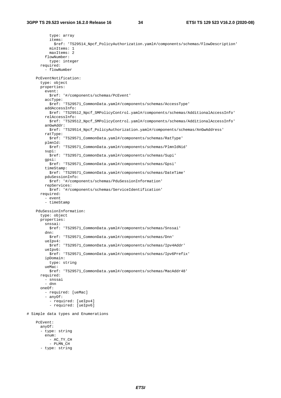type: array items: \$ref: 'TS29514\_Npcf\_PolicyAuthorization.yaml#/components/schemas/FlowDescription' minItems: 1 maxItems: 2 flowNumber: type: integer required: - flowNumber PcEventNotification: type: object properties: event:<br>\$ref: '#/components/schemas/PcEvent' accType: \$ref: 'TS29571\_CommonData.yaml#/components/schemas/AccessType' addAccessInfo: \$ref: 'TS29512\_Npcf\_SMPolicyControl.yaml#/components/schemas/AdditionalAccessInfo' relAccessInfo: \$ref: 'TS29512\_Npcf\_SMPolicyControl.yaml#/components/schemas/AdditionalAccessInfo' anGwAddr: \$ref: 'TS29514\_Npcf\_PolicyAuthorization.yaml#/components/schemas/AnGwAddress' ratType: \$ref: 'TS29571\_CommonData.yaml#/components/schemas/RatType' plmnId: \$ref: 'TS29571\_CommonData.yaml#/components/schemas/PlmnIdNid' supi: \$ref: 'TS29571\_CommonData.yaml#/components/schemas/Supi' gpsi: \$ref: 'TS29571\_CommonData.yaml#/components/schemas/Gpsi' timeStamp: \$ref: 'TS29571\_CommonData.yaml#/components/schemas/DateTime' pduSessionInfo: \$ref: '#/components/schemas/PduSessionInformation' repServices: \$ref: '#/components/schemas/ServiceIdentification' required: - event - timeStamp PduSessionInformation: type: object properties: snssai: \$ref: 'TS29571\_CommonData.yaml#/components/schemas/Snssai' dnn: \$ref: 'TS29571\_CommonData.yaml#/components/schemas/Dnn' ueIpv4: \$ref: 'TS29571\_CommonData.yaml#/components/schemas/Ipv4Addr' ueIpv6: \$ref: 'TS29571\_CommonData.yaml#/components/schemas/Ipv6Prefix' ipDomain: type: string ueMac: \$ref: 'TS29571\_CommonData.yaml#/components/schemas/MacAddr48' required: - snssai - dnn oneOf: - required: [ueMac] - anyOf: - required: [ueIpv4] - required: [ueIpv6] # Simple data types and Enumerations PcEvent: anyOf: - type: string enum: - AC\_TY\_CH - PLMN\_CH - type: string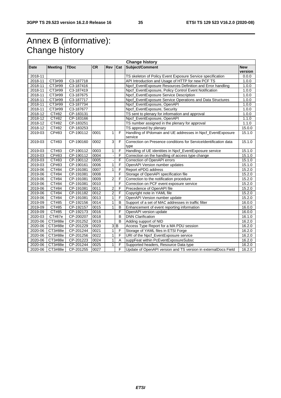## Annex B (informative): Change history

|             | <b>Change history</b> |             |           |                           |                         |                                                                          |            |
|-------------|-----------------------|-------------|-----------|---------------------------|-------------------------|--------------------------------------------------------------------------|------------|
| <b>Date</b> | <b>Meeting</b>        | <b>TDoc</b> | <b>CR</b> | <b>Rev</b>                | Cat                     | Subject/Comment                                                          | <b>New</b> |
|             |                       |             |           |                           |                         |                                                                          | version    |
| $2018 - 11$ |                       |             |           |                           |                         | TS skeleton of Policy Event Exposure Service specification               | 0.0.0      |
| 2018-11     | CT3#99                | C3-187718   |           |                           |                         | API Introduction and Usage of HTTP for new PCF TS                        | 1.0.0      |
| 2018-11     | CT3#99                | C3-187416   |           |                           |                         | Npcf_EventExposure Resources Definition and Error handling               | 1.0.0      |
| 2018-11     | CT3#99                | C3-187419   |           |                           |                         | Npcf_EventExposure, Policy Control Event Notification                    | 1.0.0      |
| $2018 - 11$ | CT3#99                | C3-187675   |           |                           |                         | Npcf_EventExposure Service Description                                   | 1.0.0      |
| 2018-11     | CT3#99                | C3-187717   |           |                           |                         | Npcf_EventExposure Service Operations and Data Structures                | 1.0.0      |
| 2018-11     | CT3#99                | C3-187734   |           |                           |                         | Npcf_EventExposure, OpenAPI                                              | 1.0.0      |
| 2018-11     | CT3#99                | C3-187677   |           |                           |                         | Npcf_EventExposure, Security                                             | 1.0.0      |
| 2018-12     | CT#82                 | CP-183131   |           |                           |                         | TS sent to plenary for information and approval                          | 1.0.0      |
| 2018-12     | CT#82                 | CP-183166   |           |                           |                         | Npcf_EventExposure, OpenAPI                                              | 1.1.0      |
| 2018-12     | <b>CT#82</b>          | CP-183251   |           |                           |                         | TS number assigned in the plenary for approval                           | 1.1.0      |
| 2018-12     | CT#82                 | CP-183253   |           |                           |                         | TS approved by plenary                                                   | 15.0.0     |
| 2019-03     | CP#83                 | CP-190112   | 0001      | 1                         | F                       | Handling of IPdomain and UE addresses in Npcf_EventExposure<br>service   | 15.1.0     |
| 2019-03     | CT#83                 | CP-190160   | 0002      | $\ensuremath{\mathsf{3}}$ | F                       | Correction on Presence conditions for Service dentification data<br>type | 15.1.0     |
| 2019-03     | CT#83                 | CP-190112   | 0003      | 1                         | F                       | Handling of UE identities in Npcf_EventExposure service                  | 15.1.0     |
| 2019-03     | CP#83                 | CP-190112   | 0004      |                           | F                       | Correction on the handling of access type change                         | 15.1.0     |
| 2019-03     | CT#83                 | CP-190112   | 0005      |                           | F                       | Correction of OpenAPI errors                                             | 15.1.0     |
| 2019-03     | CP#83                 | CP-190161   | 0006      | 1                         | F                       | OpenAPI Version number updates                                           | 15.1.0     |
| 2019-06     | CT#84                 | CP-191081   | 0007      | $\mathbf{1}$              | F                       | Report ePDG address                                                      | 15.2.0     |
| 2019-06     | CT#84                 | CP-191081   | 0008      |                           | F                       | Storage of OpenAPI specification file                                    | 15.2.0     |
| 2019-06     | CT#84                 | CP-191081   | 0009      | $\overline{c}$            | F                       | Correction to the notification procedure                                 | 15.2.0     |
| 2019-06     | CT#84                 | CP-191081   | 0010      |                           | F                       | Correction on PCF event exposure service                                 | 15.2.0     |
| 2019-06     | CT#84                 | CP-191081   | 0011      | $\overline{2}$            | $\overline{F}$          | Precedence of OpenAPI file                                               | 15.2.0     |
| 2019-06     | CT#84                 | CP-191182   | 0012      | $\overline{\mathbf{2}}$   | F                       | Copyright note in YAML file                                              | 15.2.0     |
| 2019-06     | CT#84                 | CP-191081   | 0013      | 1                         | F                       | OpenAPI Version number update                                            | 15.2.0     |
| 2019-09     | CT#85                 | CP-192156   | 0014      | 1                         | B                       | Support of a set of MAC addresses in traffic filter                      | 16.0.0     |
| 2019-09     | CT#85                 | CP-192157   | 0015      | 1                         | B                       | Enhancement of event reporting information                               | 16.0.0     |
| 2019-09     | CT#85                 | CP-192173   | 0016      |                           | F                       | OpenAPI version update                                                   | 16.0.0     |
| 2020-03     | CT#87e                | CP-200207   | 0018      |                           | B                       | <b>DNN Clarification</b>                                                 | 16.1.0     |
| $2020 - 06$ | CT3#88e               | CP-201252   | 0019      |                           | B                       | Adding support of NID                                                    | 16.2.0     |
| 2020-06     | CT3#88e               | CP-201229   | 0020      |                           | 3B                      | Access Type Report for a MA PDU session                                  | 16.2.0     |
| 2020-06     | CT3#88e               | CP-201244   | 0021      | $\mathbf{1}$              | F                       | Storage of YAML files in ETSI Forge                                      | 16.2.0     |
| 2020-06     | CT3#88e               | CP-201256   | 0022      | $\mathbf{1}$              | $\overline{\mathsf{F}}$ | URI of the Npcf_EventExposure service                                    | 16.2.0     |
| 2020-06     | CT3#88e               | CP-201223   | 0024      | 1                         | $\overline{A}$          | suppFeat within PcEventExposureSubsc                                     | 16.2.0     |
| $2020 - 06$ | CT3#88e               | CP-201244   | 0025      | $\mathbf{1}$              | F                       | Supported headers, Resource Data type                                    | 16.2.0     |
| 2020-06     | CT3#88e               | CP-201255   | 0027      |                           | F                       | Update of OpenAPI version and TS version in externalDocs Field           | 16.2.0     |